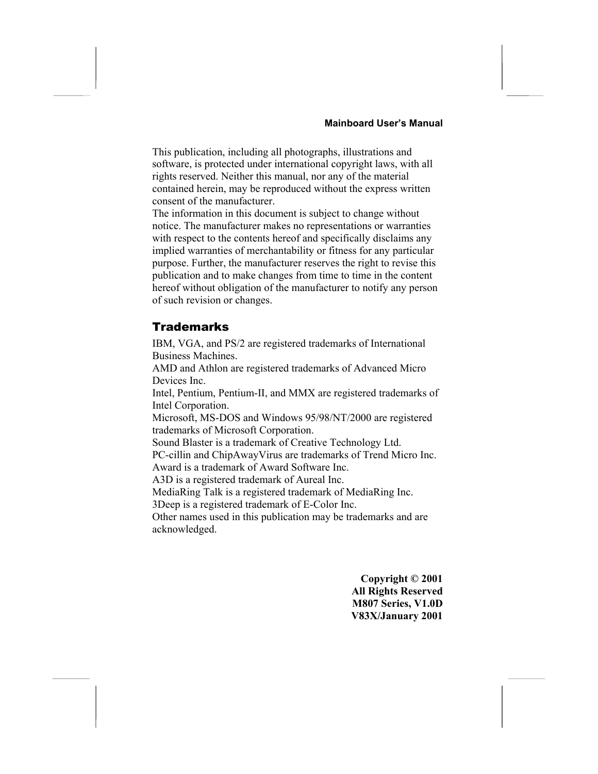This publication, including all photographs, illustrations and software, is protected under international copyright laws, with all rights reserved. Neither this manual, nor any of the material contained herein, may be reproduced without the express written consent of the manufacturer.

The information in this document is subject to change without notice. The manufacturer makes no representations or warranties with respect to the contents hereof and specifically disclaims any implied warranties of merchantability or fitness for any particular purpose. Further, the manufacturer reserves the right to revise this publication and to make changes from time to time in the content hereof without obligation of the manufacturer to notify any person of such revision or changes.

#### Trademarks

IBM, VGA, and PS/2 are registered trademarks of International Business Machines.

AMD and Athlon are registered trademarks of Advanced Micro Devices Inc.

Intel, Pentium, Pentium-II, and MMX are registered trademarks of Intel Corporation.

Microsoft, MS-DOS and Windows 95/98/NT/2000 are registered trademarks of Microsoft Corporation.

Sound Blaster is a trademark of Creative Technology Ltd.

PC-cillin and ChipAwayVirus are trademarks of Trend Micro Inc. Award is a trademark of Award Software Inc.

A3D is a registered trademark of Aureal Inc.

MediaRing Talk is a registered trademark of MediaRing Inc.

3Deep is a registered trademark of E-Color Inc.

Other names used in this publication may be trademarks and are acknowledged.

> **Copyright © 2001 All Rights Reserved M807 Series, V1.0D V83X/January 2001**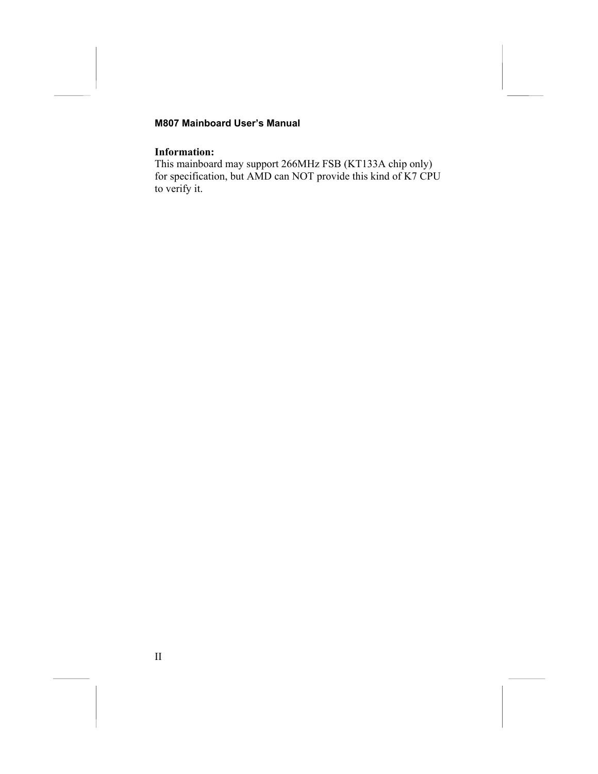#### **Information:**

This mainboard may support 266MHz FSB (KT133A chip only) for specification, but AMD can NOT provide this kind of K7 CPU to verify it.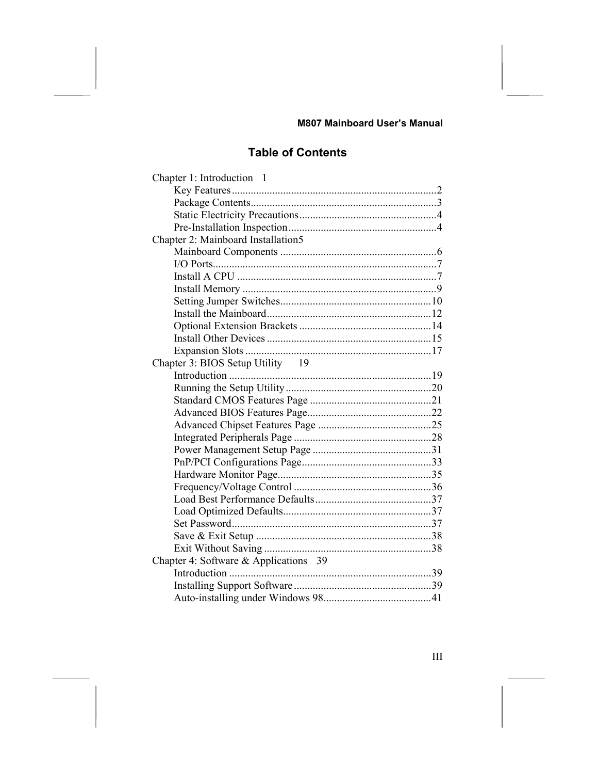### **Table of Contents**

| Chapter 1: Introduction 1             |  |
|---------------------------------------|--|
|                                       |  |
|                                       |  |
|                                       |  |
|                                       |  |
| Chapter 2: Mainboard Installation5    |  |
|                                       |  |
|                                       |  |
|                                       |  |
|                                       |  |
|                                       |  |
|                                       |  |
|                                       |  |
|                                       |  |
|                                       |  |
| Chapter 3: BIOS Setup Utility 19      |  |
|                                       |  |
|                                       |  |
|                                       |  |
|                                       |  |
|                                       |  |
|                                       |  |
|                                       |  |
|                                       |  |
|                                       |  |
|                                       |  |
|                                       |  |
|                                       |  |
|                                       |  |
|                                       |  |
|                                       |  |
| Chapter 4: Software & Applications 39 |  |
|                                       |  |
|                                       |  |
|                                       |  |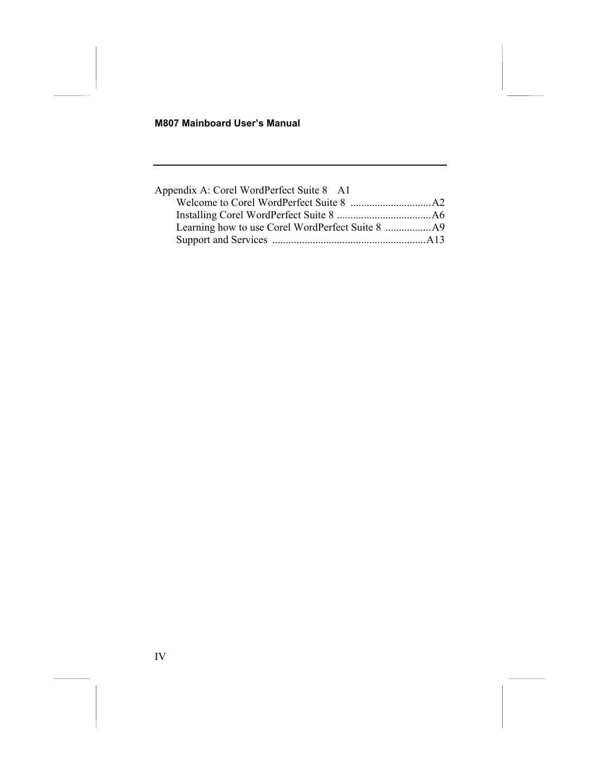| Appendix A: Corel WordPerfect Suite 8 A1 |  |
|------------------------------------------|--|
|                                          |  |
|                                          |  |
|                                          |  |
|                                          |  |
|                                          |  |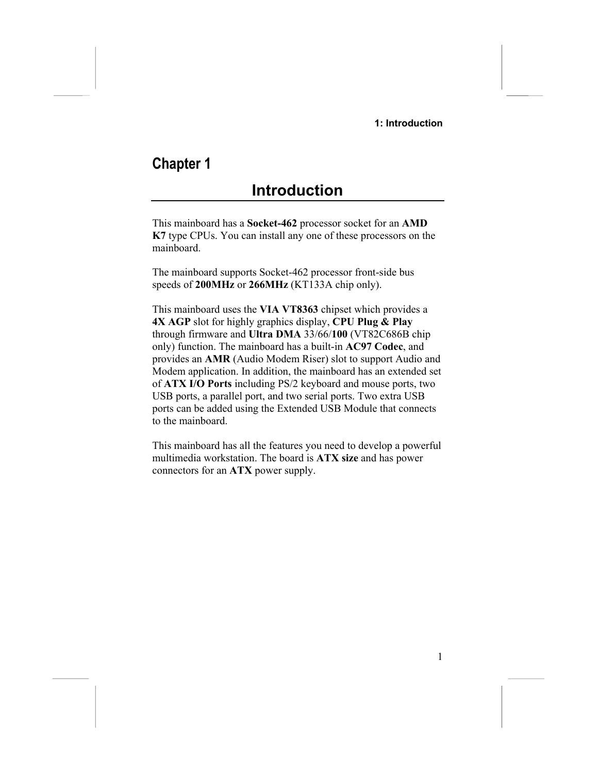# **Chapter 1**

# <span id="page-4-0"></span>**Introduction**

This mainboard has a **Socket-462** processor socket for an **AMD K7** type CPUs. You can install any one of these processors on the mainboard.

The mainboard supports Socket-462 processor front-side bus speeds of **200MHz** or **266MHz** (KT133A chip only).

This mainboard uses the **VIA VT8363** chipset which provides a **4X AGP** slot for highly graphics display, **CPU Plug & Play** through firmware and **Ultra DMA** 33/66/**100** (VT82C686B chip only) function. The mainboard has a built-in **AC97 Codec**, and provides an **AMR** (Audio Modem Riser) slot to support Audio and Modem application. In addition, the mainboard has an extended set of **ATX I/O Ports** including PS/2 keyboard and mouse ports, two USB ports, a parallel port, and two serial ports. Two extra USB ports can be added using the Extended USB Module that connects to the mainboard.

This mainboard has all the features you need to develop a powerful multimedia workstation. The board is **ATX size** and has power connectors for an **ATX** power supply.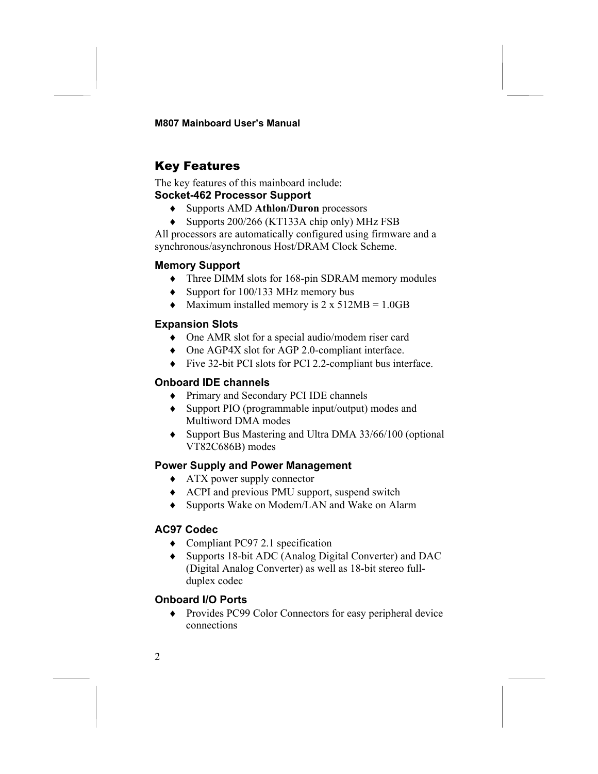### <span id="page-5-0"></span>Key Features

The key features of this mainboard include: **Socket-462 Processor Support**

♦ Supports AMD **Athlon/Duron** processors

♦ Supports 200/266 (KT133A chip only) MHz FSB All processors are automatically configured using firmware and a synchronous/asynchronous Host/DRAM Clock Scheme.

#### **Memory Support**

- ♦ Three DIMM slots for 168-pin SDRAM memory modules
- ♦ Support for 100/133 MHz memory bus
- $\blacklozenge$  Maximum installed memory is 2 x 512MB = 1.0GB

#### **Expansion Slots**

- ♦ One AMR slot for a special audio/modem riser card
- ♦ One AGP4X slot for AGP 2.0-compliant interface.
- ♦ Five 32-bit PCI slots for PCI 2.2-compliant bus interface.

#### **Onboard IDE channels**

- ♦ Primary and Secondary PCI IDE channels
- ♦ Support PIO (programmable input/output) modes and Multiword DMA modes
- ♦ Support Bus Mastering and Ultra DMA 33/66/100 (optional VT82C686B) modes

#### **Power Supply and Power Management**

- ♦ ATX power supply connector
- ♦ ACPI and previous PMU support, suspend switch
- ♦ Supports Wake on Modem/LAN and Wake on Alarm

#### **AC97 Codec**

- ♦ Compliant PC97 2.1 specification
- ♦ Supports 18-bit ADC (Analog Digital Converter) and DAC (Digital Analog Converter) as well as 18-bit stereo fullduplex codec

#### **Onboard I/O Ports**

♦ Provides PC99 Color Connectors for easy peripheral device connections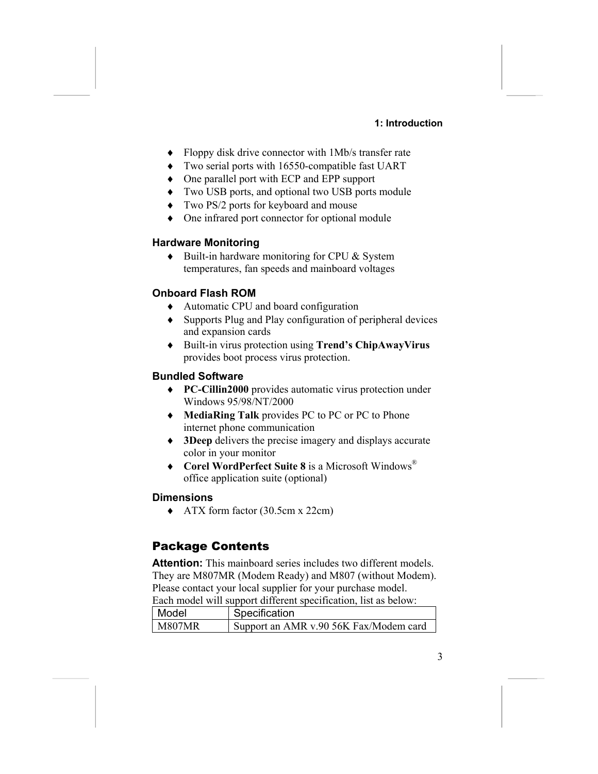#### **1: Introduction**

- ♦ Floppy disk drive connector with 1Mb/s transfer rate
- ♦ Two serial ports with 16550-compatible fast UART
- ♦ One parallel port with ECP and EPP support
- ♦ Two USB ports, and optional two USB ports module
- ♦ Two PS/2 ports for keyboard and mouse
- ♦ One infrared port connector for optional module

#### **Hardware Monitoring**

♦ Built-in hardware monitoring for CPU & System temperatures, fan speeds and mainboard voltages

#### **Onboard Flash ROM**

- ♦ Automatic CPU and board configuration
- ♦ Supports Plug and Play configuration of peripheral devices and expansion cards
- ♦ Built-in virus protection using **Trend's ChipAwayVirus** provides boot process virus protection.

#### **Bundled Software**

- ♦ **PC-Cillin2000** provides automatic virus protection under Windows 95/98/NT/2000
- ♦ **MediaRing Talk** provides PC to PC or PC to Phone internet phone communication
- ♦ **3Deep** delivers the precise imagery and displays accurate color in your monitor
- ♦ **Corel WordPerfect Suite 8** is a Microsoft Windows® office application suite (optional)

#### **Dimensions**

♦ ATX form factor (30.5cm x 22cm)

### <span id="page-6-0"></span>Package Contents

**Attention:** This mainboard series includes two different models. They are M807MR (Modem Ready) and M807 (without Modem). Please contact your local supplier for your purchase model. Each model will support different specification, list as below:

| Model  | Specification                          |  |
|--------|----------------------------------------|--|
| M807MR | Support an AMR v.90 56K Fax/Modem card |  |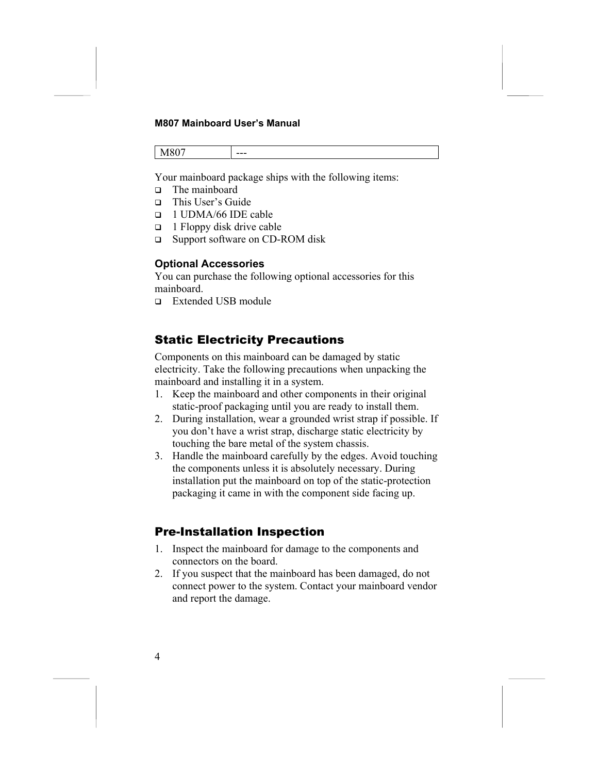M807 ---

Your mainboard package ships with the following items:

- The mainboard
- This User's Guide
- 1 UDMA/66 IDE cable
- $\Box$  1 Floppy disk drive cable
- □ Support software on CD-ROM disk

#### **Optional Accessories**

You can purchase the following optional accessories for this mainboard.

Extended USB module

### <span id="page-7-0"></span>Static Electricity Precautions

Components on this mainboard can be damaged by static electricity. Take the following precautions when unpacking the mainboard and installing it in a system.

- 1. Keep the mainboard and other components in their original static-proof packaging until you are ready to install them.
- 2. During installation, wear a grounded wrist strap if possible. If you don't have a wrist strap, discharge static electricity by touching the bare metal of the system chassis.
- 3. Handle the mainboard carefully by the edges. Avoid touching the components unless it is absolutely necessary. During installation put the mainboard on top of the static-protection packaging it came in with the component side facing up.

### <span id="page-7-1"></span>Pre-Installation Inspection

- 1. Inspect the mainboard for damage to the components and connectors on the board.
- 2. If you suspect that the mainboard has been damaged, do not connect power to the system. Contact your mainboard vendor and report the damage.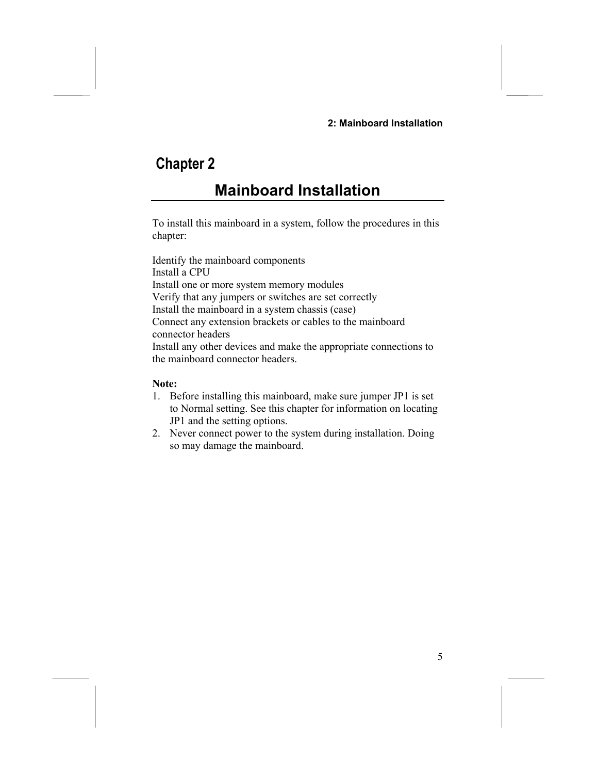#### **2: Mainboard Installation**

# **Chapter 2**

# <span id="page-8-0"></span>**Mainboard Installation**

To install this mainboard in a system, follow the procedures in this chapter:

Identify the mainboard components Install a CPU Install one or more system memory modules Verify that any jumpers or switches are set correctly Install the mainboard in a system chassis (case) Connect any extension brackets or cables to the mainboard connector headers Install any other devices and make the appropriate connections to the mainboard connector headers.

#### **Note:**

- 1. Before installing this mainboard, make sure jumper JP1 is set to Normal setting. See this chapter for information on locating JP1 and the setting options.
- 2. Never connect power to the system during installation. Doing so may damage the mainboard.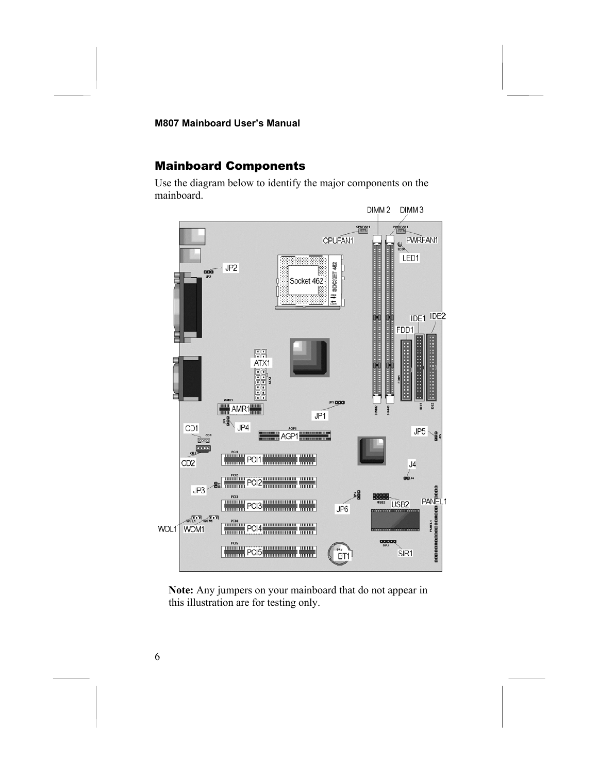### <span id="page-9-0"></span>Mainboard Components

Use the diagram below to identify the major components on the mainboard.



**Note:** Any jumpers on your mainboard that do not appear in this illustration are for testing only.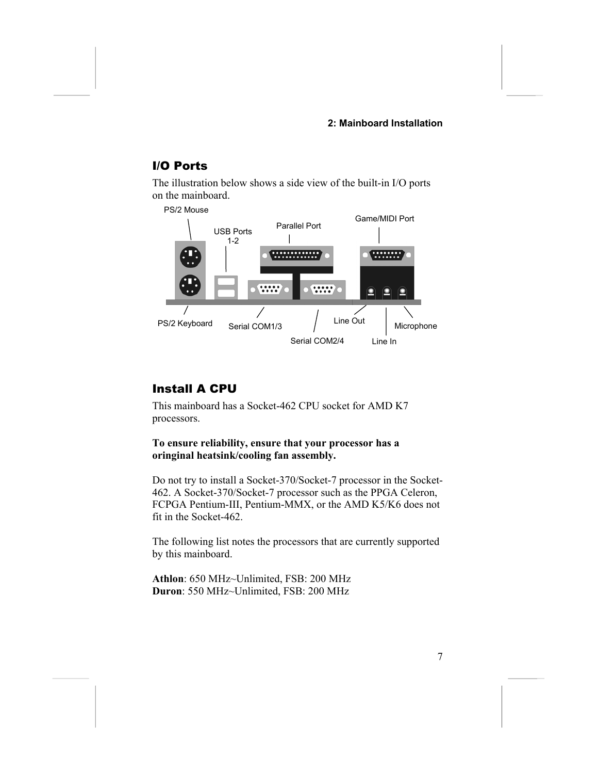#### **2: Mainboard Installation**

### <span id="page-10-0"></span>I/O Ports

The illustration below shows a side view of the built-in I/O ports on the mainboard.



### <span id="page-10-1"></span>Install A CPU

This mainboard has a Socket-462 CPU socket for AMD K7 processors.

#### **To ensure reliability, ensure that your processor has a oringinal heatsink/cooling fan assembly.**

Do not try to install a Socket-370/Socket-7 processor in the Socket-462. A Socket-370/Socket-7 processor such as the PPGA Celeron, FCPGA Pentium-III, Pentium-MMX, or the AMD K5/K6 does not fit in the Socket-462.

The following list notes the processors that are currently supported by this mainboard.

**Athlon**: 650 MHz~Unlimited, FSB: 200 MHz **Duron**: 550 MHz~Unlimited, FSB: 200 MHz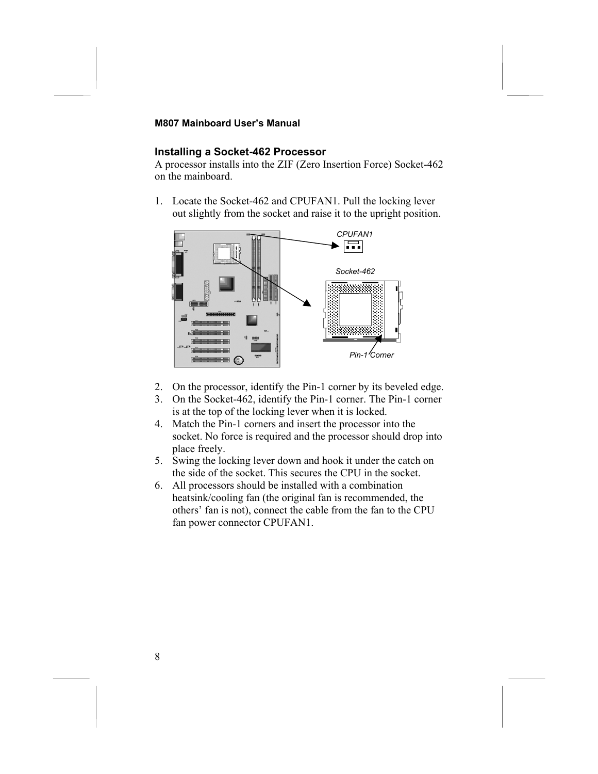#### **Installing a Socket-462 Processor**

A processor installs into the ZIF (Zero Insertion Force) Socket-462 on the mainboard.

1. Locate the Socket-462 and CPUFAN1. Pull the locking lever out slightly from the socket and raise it to the upright position.



- 2. On the processor, identify the Pin-1 corner by its beveled edge.
- 3. On the Socket-462, identify the Pin-1 corner. The Pin-1 corner is at the top of the locking lever when it is locked.
- 4. Match the Pin-1 corners and insert the processor into the socket. No force is required and the processor should drop into place freely.
- 5. Swing the locking lever down and hook it under the catch on the side of the socket. This secures the CPU in the socket.
- 6. All processors should be installed with a combination heatsink/cooling fan (the original fan is recommended, the others' fan is not), connect the cable from the fan to the CPU fan power connector CPUFAN1.

8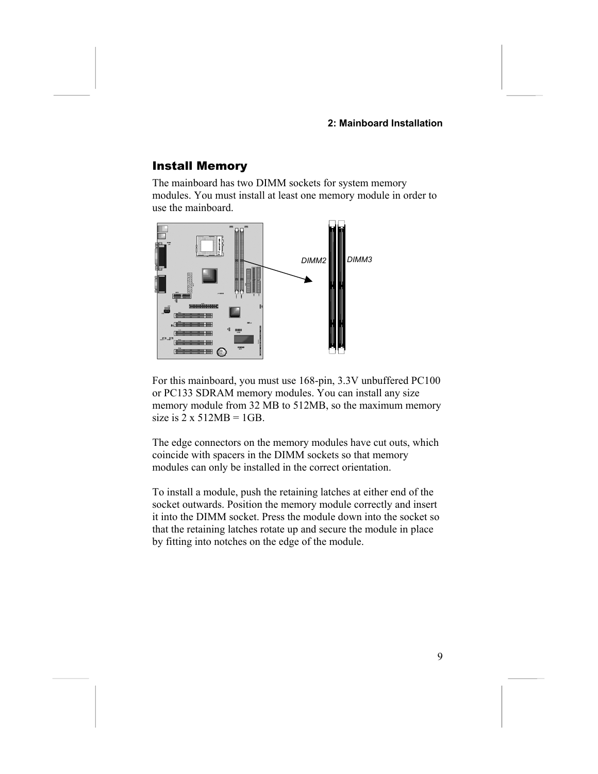#### **2: Mainboard Installation**

#### <span id="page-12-0"></span>Install Memory

The mainboard has two DIMM sockets for system memory modules. You must install at least one memory module in order to use the mainboard.



For this mainboard, you must use 168-pin, 3.3V unbuffered PC100 or PC133 SDRAM memory modules. You can install any size memory module from 32 MB to 512MB, so the maximum memory size is  $2 \times 512MB = 1GB$ .

The edge connectors on the memory modules have cut outs, which coincide with spacers in the DIMM sockets so that memory modules can only be installed in the correct orientation.

To install a module, push the retaining latches at either end of the socket outwards. Position the memory module correctly and insert it into the DIMM socket. Press the module down into the socket so that the retaining latches rotate up and secure the module in place by fitting into notches on the edge of the module.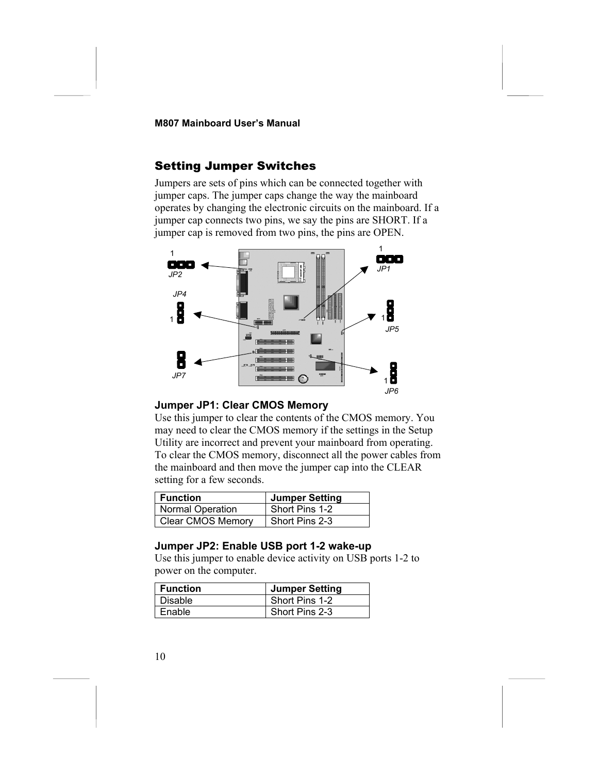#### <span id="page-13-0"></span>Setting Jumper Switches

Jumpers are sets of pins which can be connected together with jumper caps. The jumper caps change the way the mainboard operates by changing the electronic circuits on the mainboard. If a jumper cap connects two pins, we say the pins are SHORT. If a jumper cap is removed from two pins, the pins are OPEN.



#### **Jumper JP1: Clear CMOS Memory**

Use this jumper to clear the contents of the CMOS memory. You may need to clear the CMOS memory if the settings in the Setup Utility are incorrect and prevent your mainboard from operating. To clear the CMOS memory, disconnect all the power cables from the mainboard and then move the jumper cap into the CLEAR setting for a few seconds.

| l Function               | <b>Jumper Setting</b> |
|--------------------------|-----------------------|
| <b>Normal Operation</b>  | Short Pins 1-2        |
| <b>Clear CMOS Memory</b> | Short Pins 2-3        |

#### **Jumper JP2: Enable USB port 1-2 wake-up**

Use this jumper to enable device activity on USB ports 1-2 to power on the computer.

| <b>Function</b> | <b>Jumper Setting</b> |
|-----------------|-----------------------|
| <b>Disable</b>  | Short Pins 1-2        |
| Enable          | Short Pins 2-3        |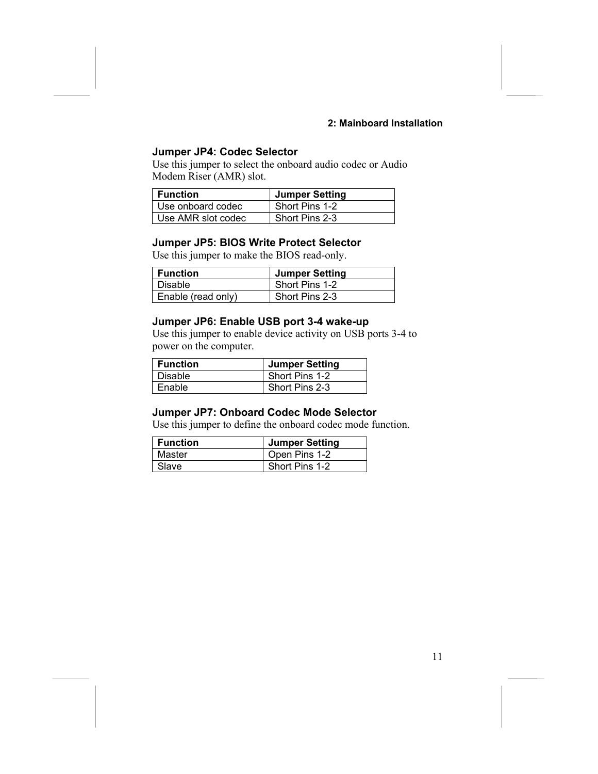#### **2: Mainboard Installation**

#### **Jumper JP4: Codec Selector**

Use this jumper to select the onboard audio codec or Audio Modem Riser (AMR) slot.

| <b>∣ Function</b>  | <b>Jumper Setting</b> |
|--------------------|-----------------------|
| Use onboard codec  | Short Pins 1-2        |
| Use AMR slot codec | Short Pins 2-3        |

#### **Jumper JP5: BIOS Write Protect Selector**

Use this jumper to make the BIOS read-only.

| <b>Function</b>    | <b>Jumper Setting</b> |
|--------------------|-----------------------|
| Disable            | Short Pins 1-2        |
| Enable (read only) | Short Pins 2-3        |

#### **Jumper JP6: Enable USB port 3-4 wake-up**

Use this jumper to enable device activity on USB ports 3-4 to power on the computer.

| l Function | <b>Jumper Setting</b> |
|------------|-----------------------|
| l Disable  | Short Pins 1-2        |
| Enable     | Short Pins 2-3        |

#### **Jumper JP7: Onboard Codec Mode Selector**

Use this jumper to define the onboard codec mode function.

| Function | <b>Jumper Setting</b> |
|----------|-----------------------|
| Master   | Open Pins 1-2         |
| Slave    | Short Pins 1-2        |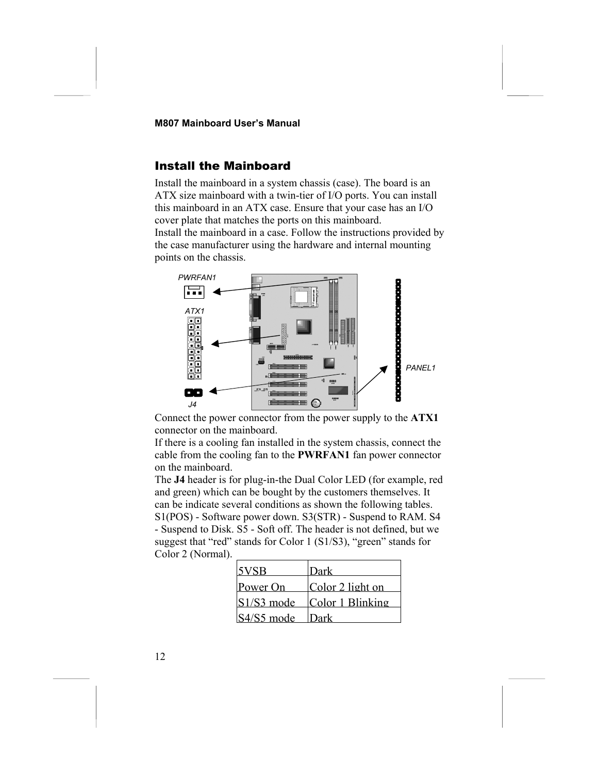#### <span id="page-15-0"></span>Install the Mainboard

Install the mainboard in a system chassis (case). The board is an ATX size mainboard with a twin-tier of I/O ports. You can install this mainboard in an ATX case. Ensure that your case has an I/O cover plate that matches the ports on this mainboard. Install the mainboard in a case. Follow the instructions provided by the case manufacturer using the hardware and internal mounting points on the chassis.



Connect the power connector from the power supply to the **ATX1** connector on the mainboard.

If there is a cooling fan installed in the system chassis, connect the cable from the cooling fan to the **PWRFAN1** fan power connector on the mainboard.

The **J4** header is for plug-in-the Dual Color LED (for example, red and green) which can be bought by the customers themselves. It can be indicate several conditions as shown the following tables. S1(POS) - Software power down. S3(STR) - Suspend to RAM. S4 - Suspend to Disk. S5 - Soft off. The header is not defined, but we suggest that "red" stands for Color 1 (S1/S3), "green" stands for Color 2 (Normal).

| <b>SVSB</b>  | Dark             |
|--------------|------------------|
| Power On     | Color 2 light on |
| $S1/S3$ mode | Color 1 Blinking |
| S4/S5 mode   | ll)ark           |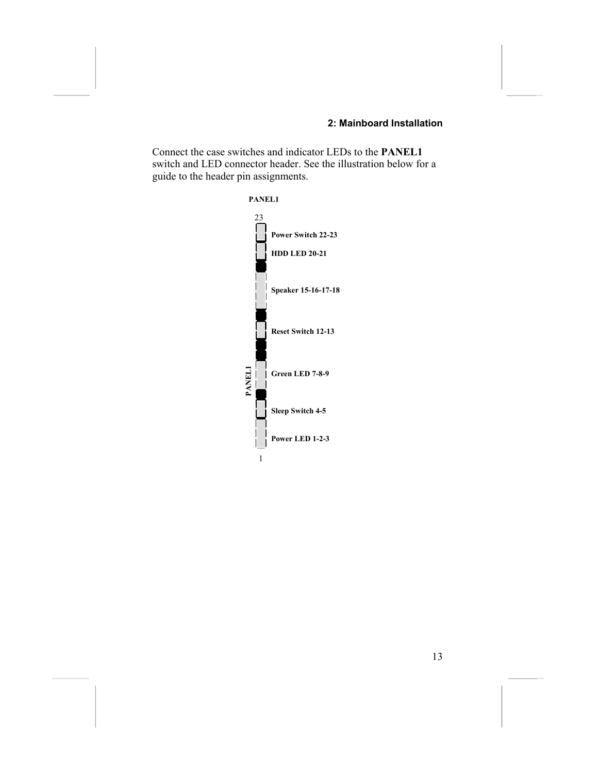#### **2: Mainboard Installation**

Connect the case switches and indicator LEDs to the **PANEL1** switch and LED connector header. See the illustration below for a guide to the header pin assignments.

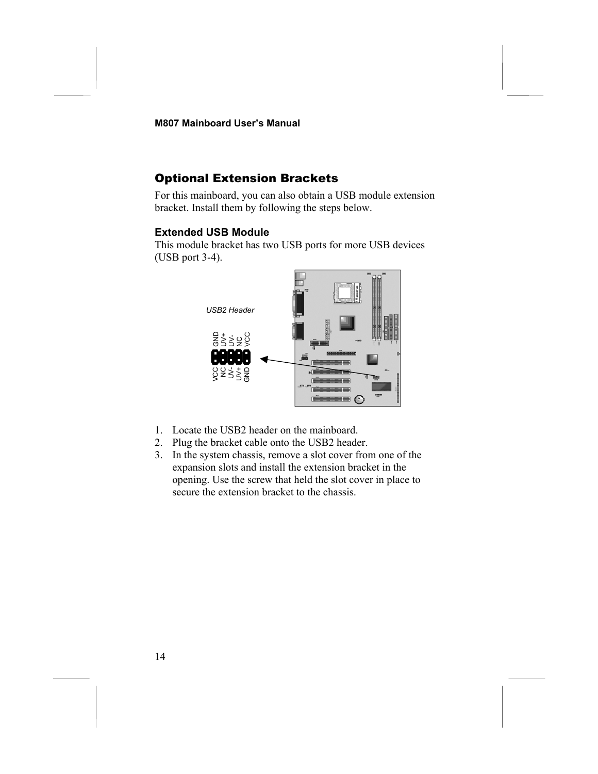### <span id="page-17-0"></span>Optional Extension Brackets

For this mainboard, you can also obtain a USB module extension bracket. Install them by following the steps below.

#### **Extended USB Module**

This module bracket has two USB ports for more USB devices (USB port 3-4).



- 1. Locate the USB2 header on the mainboard.
- 2. Plug the bracket cable onto the USB2 header.
- 3. In the system chassis, remove a slot cover from one of the expansion slots and install the extension bracket in the opening. Use the screw that held the slot cover in place to secure the extension bracket to the chassis.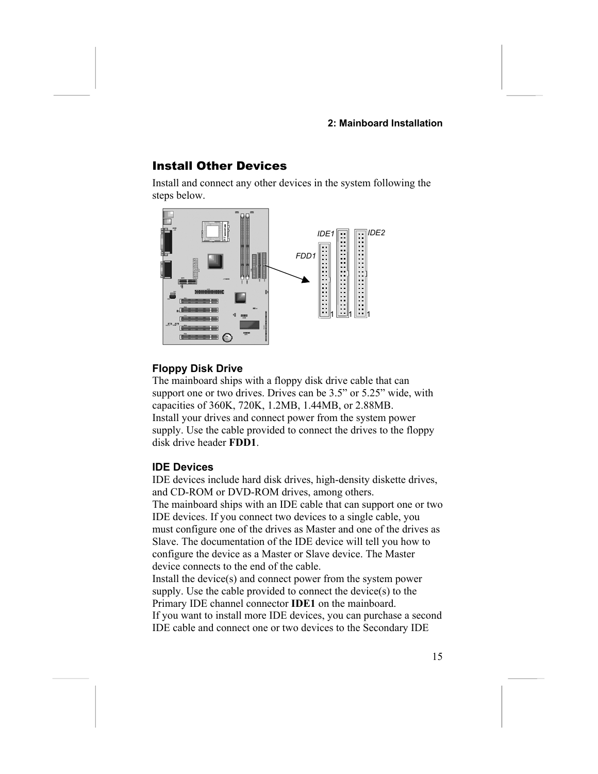#### **2: Mainboard Installation**

#### <span id="page-18-0"></span>Install Other Devices

Install and connect any other devices in the system following the steps below.



#### **Floppy Disk Drive**

The mainboard ships with a floppy disk drive cable that can support one or two drives. Drives can be 3.5" or 5.25" wide, with capacities of 360K, 720K, 1.2MB, 1.44MB, or 2.88MB. Install your drives and connect power from the system power supply. Use the cable provided to connect the drives to the floppy disk drive header **FDD1**.

#### **IDE Devices**

IDE devices include hard disk drives, high-density diskette drives, and CD-ROM or DVD-ROM drives, among others. The mainboard ships with an IDE cable that can support one or two IDE devices. If you connect two devices to a single cable, you must configure one of the drives as Master and one of the drives as Slave. The documentation of the IDE device will tell you how to configure the device as a Master or Slave device. The Master device connects to the end of the cable. Install the device(s) and connect power from the system power supply. Use the cable provided to connect the device(s) to the Primary IDE channel connector **IDE1** on the mainboard.

If you want to install more IDE devices, you can purchase a second IDE cable and connect one or two devices to the Secondary IDE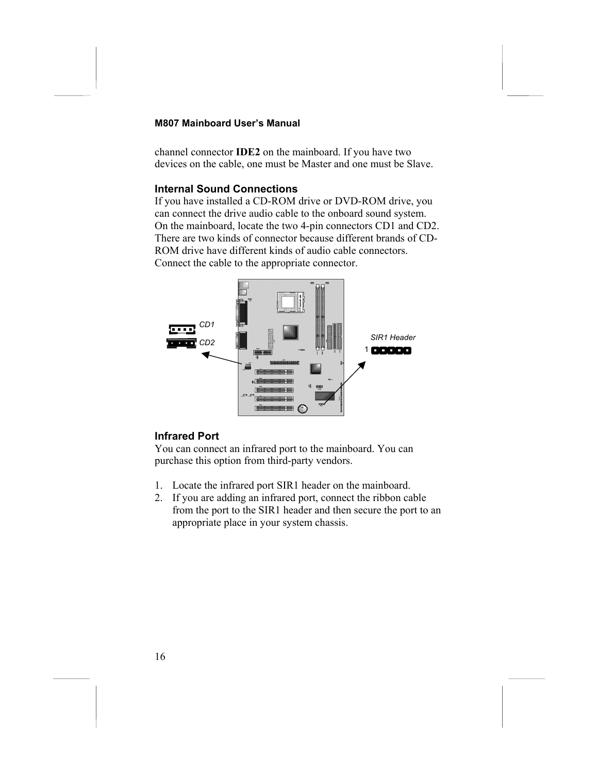channel connector **IDE2** on the mainboard. If you have two devices on the cable, one must be Master and one must be Slave.

#### **Internal Sound Connections**

If you have installed a CD-ROM drive or DVD-ROM drive, you can connect the drive audio cable to the onboard sound system. On the mainboard, locate the two 4-pin connectors CD1 and CD2. There are two kinds of connector because different brands of CD-ROM drive have different kinds of audio cable connectors. Connect the cable to the appropriate connector.



#### **Infrared Port**

You can connect an infrared port to the mainboard. You can purchase this option from third-party vendors.

- 1. Locate the infrared port SIR1 header on the mainboard.
- 2. If you are adding an infrared port, connect the ribbon cable from the port to the SIR1 header and then secure the port to an appropriate place in your system chassis.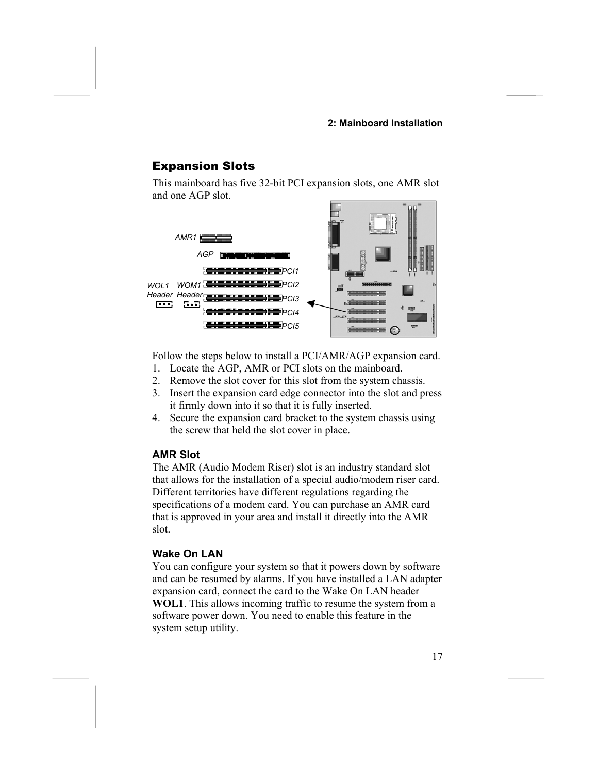#### **2: Mainboard Installation**

#### <span id="page-20-0"></span>Expansion Slots

This mainboard has five 32-bit PCI expansion slots, one AMR slot and one AGP slot.



Follow the steps below to install a PCI/AMR/AGP expansion card.

- 1. Locate the AGP, AMR or PCI slots on the mainboard.
- 2. Remove the slot cover for this slot from the system chassis.
- 3. Insert the expansion card edge connector into the slot and press it firmly down into it so that it is fully inserted.
- 4. Secure the expansion card bracket to the system chassis using the screw that held the slot cover in place.

#### **AMR Slot**

The AMR (Audio Modem Riser) slot is an industry standard slot that allows for the installation of a special audio/modem riser card. Different territories have different regulations regarding the specifications of a modem card. You can purchase an AMR card that is approved in your area and install it directly into the AMR slot.

#### **Wake On LAN**

You can configure your system so that it powers down by software and can be resumed by alarms. If you have installed a LAN adapter expansion card, connect the card to the Wake On LAN header **WOL1**. This allows incoming traffic to resume the system from a software power down. You need to enable this feature in the system setup utility.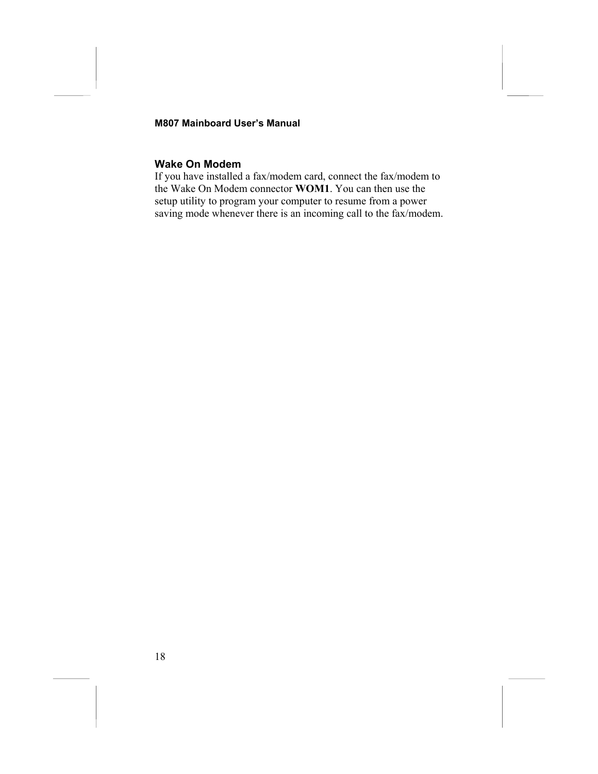#### **Wake On Modem**

If you have installed a fax/modem card, connect the fax/modem to the Wake On Modem connector **WOM1**. You can then use the setup utility to program your computer to resume from a power saving mode whenever there is an incoming call to the fax/modem.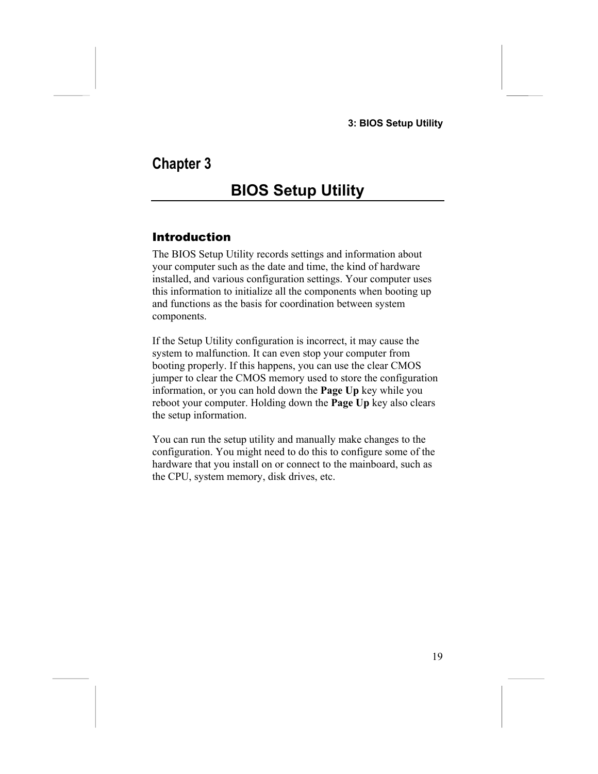# **Chapter 3**

# <span id="page-22-0"></span>**BIOS Setup Utility**

### <span id="page-22-1"></span>Introduction

The BIOS Setup Utility records settings and information about your computer such as the date and time, the kind of hardware installed, and various configuration settings. Your computer uses this information to initialize all the components when booting up and functions as the basis for coordination between system components.

If the Setup Utility configuration is incorrect, it may cause the system to malfunction. It can even stop your computer from booting properly. If this happens, you can use the clear CMOS jumper to clear the CMOS memory used to store the configuration information, or you can hold down the **Page Up** key while you reboot your computer. Holding down the **Page Up** key also clears the setup information.

You can run the setup utility and manually make changes to the configuration. You might need to do this to configure some of the hardware that you install on or connect to the mainboard, such as the CPU, system memory, disk drives, etc.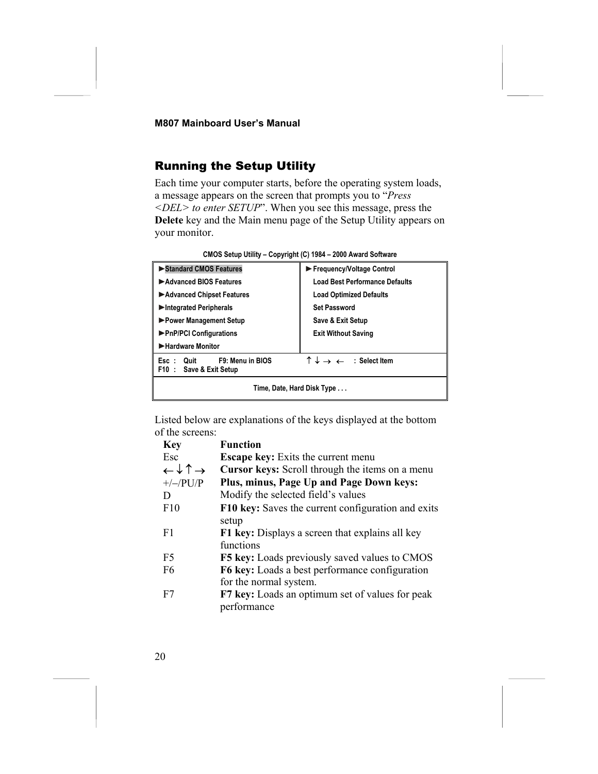### <span id="page-23-0"></span>Running the Setup Utility

Each time your computer starts, before the operating system loads, a message appears on the screen that prompts you to "*Press <DEL> to enter SETUP*". When you see this message, press the **Delete** key and the Main menu page of the Setup Utility appears on your monitor.

| Standard CMOS Features                                      | Frequency/Voltage Control                                  |
|-------------------------------------------------------------|------------------------------------------------------------|
| Advanced BIOS Features                                      | <b>Load Best Performance Defaults</b>                      |
| Advanced Chipset Features                                   | <b>Load Optimized Defaults</b>                             |
| Integrated Peripherals                                      | <b>Set Password</b>                                        |
| ▶ Power Management Setup                                    | Save & Exit Setup                                          |
| ▶ PnP/PCI Configurations                                    | <b>Exit Without Saving</b>                                 |
| Hardware Monitor                                            |                                                            |
| F9: Menu in BIOS<br>Quit<br>Esc :<br>F10: Save & Exit Setup | $\uparrow \downarrow \rightarrow \leftarrow$ : Select Item |
| Time, Date, Hard Disk Type                                  |                                                            |

**CMOS Setup Utility – Copyright (C) 1984 – 2000 Award Software**

Listed below are explanations of the keys displayed at the bottom of the screens:

| <b>Key</b>                                   | <b>Function</b>                                        |
|----------------------------------------------|--------------------------------------------------------|
| Esc                                          | Escape key: Exits the current menu                     |
| $\leftarrow \downarrow \uparrow \rightarrow$ | <b>Cursor keys:</b> Scroll through the items on a menu |
| $+/-/PU/P$                                   | Plus, minus, Page Up and Page Down keys:               |
| D                                            | Modify the selected field's values                     |
| F10                                          | F10 key: Saves the current configuration and exits     |
|                                              | setup                                                  |
| F1                                           | <b>F1 key:</b> Displays a screen that explains all key |
|                                              | functions                                              |
| F <sub>5</sub>                               | <b>F5 key:</b> Loads previously saved values to CMOS   |
| F <sub>6</sub>                               | F6 key: Loads a best performance configuration         |
|                                              | for the normal system.                                 |
| F7                                           | F7 key: Loads an optimum set of values for peak        |
|                                              | performance                                            |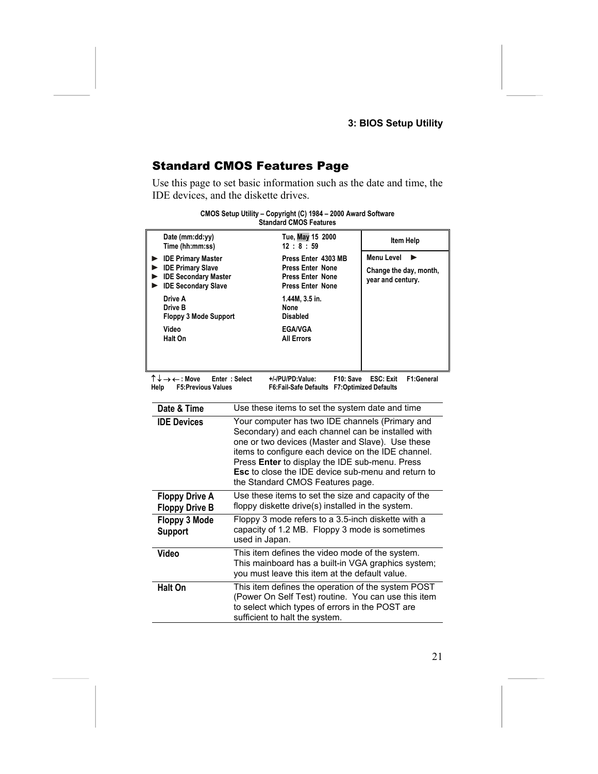### **3: BIOS Setup Utility**

### <span id="page-24-0"></span>Standard CMOS Features Page

Use this page to set basic information such as the date and time, the IDE devices, and the diskette drives.

|      |                                                     | <b>Standard CMOS Features</b>                                                                                                                                                                                                                                                                                                                                     |                                             |
|------|-----------------------------------------------------|-------------------------------------------------------------------------------------------------------------------------------------------------------------------------------------------------------------------------------------------------------------------------------------------------------------------------------------------------------------------|---------------------------------------------|
|      | Date (mm:dd:yy)<br>Time (hh:mm:ss)                  | Tue, May 15 2000<br>12:8:59                                                                                                                                                                                                                                                                                                                                       | Item Help                                   |
|      | <b>DE Primary Master</b><br><b>DE Primary Slave</b> | Press Enter 4303 MB<br><b>Press Enter None</b>                                                                                                                                                                                                                                                                                                                    | <b>Menu Level</b><br>Change the day, month, |
|      | DE Secondary Master<br>DE Secondary Slave           | <b>Press Enter None</b><br><b>Press Enter None</b>                                                                                                                                                                                                                                                                                                                | year and century.                           |
|      | Drive A<br>Drive B<br>Floppy 3 Mode Support         | 1.44M, 3.5 in.<br>None<br><b>Disabled</b>                                                                                                                                                                                                                                                                                                                         |                                             |
|      | Video<br>Halt On                                    | <b>EGA/VGA</b><br><b>All Errors</b>                                                                                                                                                                                                                                                                                                                               |                                             |
|      |                                                     |                                                                                                                                                                                                                                                                                                                                                                   |                                             |
| Help | ↑↓→←:Move<br><b>F5:Previous Values</b>              | Enter: Select<br>+/-/PU/PD:Value:<br>F10: Save<br>F6:Fail-Safe Defaults F7:Optimized Defaults                                                                                                                                                                                                                                                                     | F1:General<br><b>ESC: Exit</b>              |
|      | Date & Time                                         | Use these items to set the system date and time                                                                                                                                                                                                                                                                                                                   |                                             |
|      | <b>IDE Devices</b>                                  | Your computer has two IDE channels (Primary and<br>Secondary) and each channel can be installed with<br>one or two devices (Master and Slave). Use these<br>items to configure each device on the IDE channel.<br>Press Enter to display the IDE sub-menu. Press<br><b>Esc</b> to close the IDE device sub-menu and return to<br>the Standard CMOS Features page. |                                             |
|      | <b>Floppy Drive A</b><br><b>Floppy Drive B</b>      | Use these items to set the size and capacity of the<br>floppy diskette drive(s) installed in the system.                                                                                                                                                                                                                                                          |                                             |
|      | Floppy 3 Mode<br><b>Support</b>                     | Floppy 3 mode refers to a 3.5-inch diskette with a<br>capacity of 1.2 MB. Floppy 3 mode is sometimes<br>used in Japan.                                                                                                                                                                                                                                            |                                             |
|      | Video                                               | This item defines the video mode of the system.<br>This mainboard has a built-in VGA graphics system;<br>you must leave this item at the default value.                                                                                                                                                                                                           |                                             |
|      | <b>Halt On</b>                                      | This item defines the operation of the system POST<br>(Power On Self Test) routine. You can use this item<br>to select which types of errors in the POST are<br>sufficient to halt the system.                                                                                                                                                                    |                                             |

# **CMOS Setup Utility – Copyright (C) 1984 – 2000 Award Software**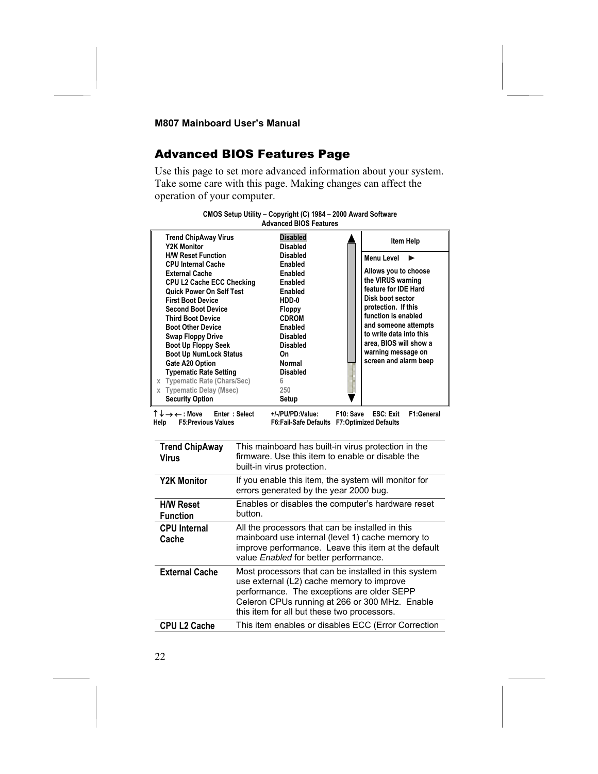### <span id="page-25-0"></span>Advanced BIOS Features Page

Use this page to set more advanced information about your system. Take some care with this page. Making changes can affect the operation of your computer.

| <b>Trend ChipAway Virus</b><br>Y2K Monitor                                                                                                                                                                                                                                                                                                                                                                                                                                                                             | <b>Disabled</b><br>Disabled                                                                                                                                                                                    | Item Help                                                                                                                                                                                                                                                                            |
|------------------------------------------------------------------------------------------------------------------------------------------------------------------------------------------------------------------------------------------------------------------------------------------------------------------------------------------------------------------------------------------------------------------------------------------------------------------------------------------------------------------------|----------------------------------------------------------------------------------------------------------------------------------------------------------------------------------------------------------------|--------------------------------------------------------------------------------------------------------------------------------------------------------------------------------------------------------------------------------------------------------------------------------------|
| <b>H/W Reset Function</b><br><b>CPU Internal Cache</b><br><b>External Cache</b><br><b>CPU L2 Cache ECC Checking</b><br><b>Quick Power On Self Test</b><br><b>First Boot Device</b><br><b>Second Boot Device</b><br><b>Third Boot Device</b><br><b>Boot Other Device</b><br><b>Swap Floppy Drive</b><br><b>Boot Up Floppy Seek</b><br><b>Boot Up NumLock Status</b><br>Gate A20 Option<br><b>Typematic Rate Setting</b><br>x Typematic Rate (Chars/Sec)<br><b>Typematic Delay (Msec)</b><br>X<br><b>Security Option</b> | <b>Disabled</b><br>Enabled<br>Enabled<br>Enabled<br>Enabled<br>HDD-0<br><b>Floppy</b><br><b>CDROM</b><br>Enabled<br><b>Disabled</b><br><b>Disabled</b><br>On<br>Normal<br><b>Disabled</b><br>6<br>250<br>Setup | <b>Menu Level</b><br>Allows you to choose<br>the VIRUS warning<br>feature for IDE Hard<br>Disk boot sector<br>protection. If this<br>function is enabled<br>and someone attempts<br>to write data into this<br>area, BIOS will show a<br>warning message on<br>screen and alarm beep |
|                                                                                                                                                                                                                                                                                                                                                                                                                                                                                                                        |                                                                                                                                                                                                                |                                                                                                                                                                                                                                                                                      |



↑ ↓ → ← **: Move Enter : Select +/-/PU/PD:Value: F10: Save ESC: Exit F1:General** F6:Fail-Safe Defaults F7:Optimized Defaults

| <b>Trend ChipAway</b><br>Virus      | This mainboard has built-in virus protection in the<br>firmware. Use this item to enable or disable the<br>built-in virus protection.                                                                                                            |
|-------------------------------------|--------------------------------------------------------------------------------------------------------------------------------------------------------------------------------------------------------------------------------------------------|
| <b>Y2K Monitor</b>                  | If you enable this item, the system will monitor for<br>errors generated by the year 2000 bug.                                                                                                                                                   |
| <b>H/W Reset</b><br><b>Function</b> | Enables or disables the computer's hardware reset<br>button.                                                                                                                                                                                     |
| <b>CPU</b> Internal<br>Cache        | All the processors that can be installed in this<br>mainboard use internal (level 1) cache memory to<br>improve performance. Leave this item at the default<br>value Enabled for better performance.                                             |
| <b>External Cache</b>               | Most processors that can be installed in this system<br>use external (L2) cache memory to improve<br>performance. The exceptions are older SEPP<br>Celeron CPUs running at 266 or 300 MHz. Enable<br>this item for all but these two processors. |
| <b>CPU L2 Cache</b>                 | This item enables or disables ECC (Error Correction                                                                                                                                                                                              |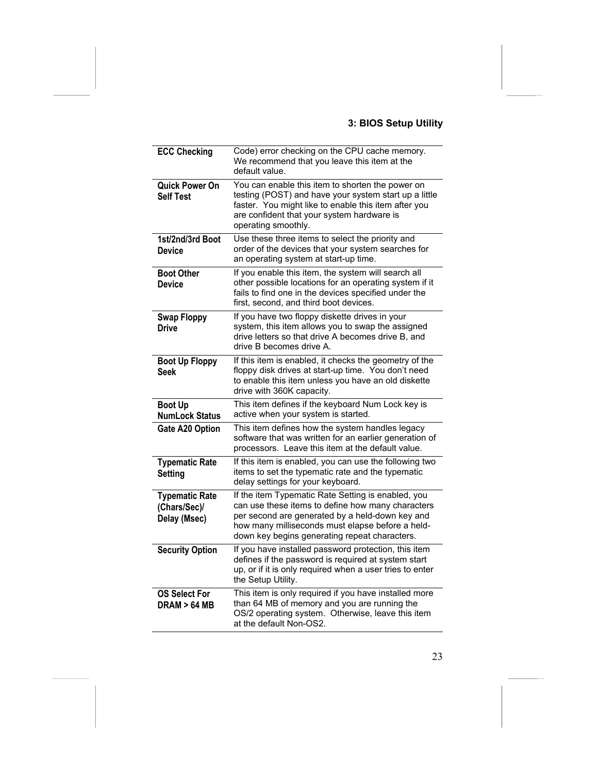### **3: BIOS Setup Utility**

| <b>ECC Checking</b>                                   | Code) error checking on the CPU cache memory.<br>We recommend that you leave this item at the<br>default value.                                                                                                                                                 |
|-------------------------------------------------------|-----------------------------------------------------------------------------------------------------------------------------------------------------------------------------------------------------------------------------------------------------------------|
| <b>Quick Power On</b><br><b>Self Test</b>             | You can enable this item to shorten the power on<br>testing (POST) and have your system start up a little<br>faster. You might like to enable this item after you<br>are confident that your system hardware is<br>operating smoothly.                          |
| 1st/2nd/3rd Boot<br><b>Device</b>                     | Use these three items to select the priority and<br>order of the devices that your system searches for<br>an operating system at start-up time.                                                                                                                 |
| <b>Boot Other</b><br><b>Device</b>                    | If you enable this item, the system will search all<br>other possible locations for an operating system if it<br>fails to find one in the devices specified under the<br>first, second, and third boot devices.                                                 |
| <b>Swap Floppy</b><br><b>Drive</b>                    | If you have two floppy diskette drives in your<br>system, this item allows you to swap the assigned<br>drive letters so that drive A becomes drive B, and<br>drive B becomes drive A.                                                                           |
| <b>Boot Up Floppy</b><br>Seek                         | If this item is enabled, it checks the geometry of the<br>floppy disk drives at start-up time. You don't need<br>to enable this item unless you have an old diskette<br>drive with 360K capacity.                                                               |
| <b>Boot Up</b><br><b>NumLock Status</b>               | This item defines if the keyboard Num Lock key is<br>active when your system is started.                                                                                                                                                                        |
| <b>Gate A20 Option</b>                                | This item defines how the system handles legacy<br>software that was written for an earlier generation of<br>processors. Leave this item at the default value.                                                                                                  |
| <b>Typematic Rate</b><br>Setting                      | If this item is enabled, you can use the following two<br>items to set the typematic rate and the typematic<br>delay settings for your keyboard.                                                                                                                |
| <b>Typematic Rate</b><br>(Chars/Sec)/<br>Delay (Msec) | If the item Typematic Rate Setting is enabled, you<br>can use these items to define how many characters<br>per second are generated by a held-down key and<br>how many milliseconds must elapse before a held-<br>down key begins generating repeat characters. |
| <b>Security Option</b>                                | If you have installed password protection, this item<br>defines if the password is required at system start<br>up, or if it is only required when a user tries to enter<br>the Setup Utility.                                                                   |
| <b>OS Select For</b><br><b>DRAM &gt; 64 MB</b>        | This item is only required if you have installed more<br>than 64 MB of memory and you are running the<br>OS/2 operating system. Otherwise, leave this item<br>at the default Non-OS2.                                                                           |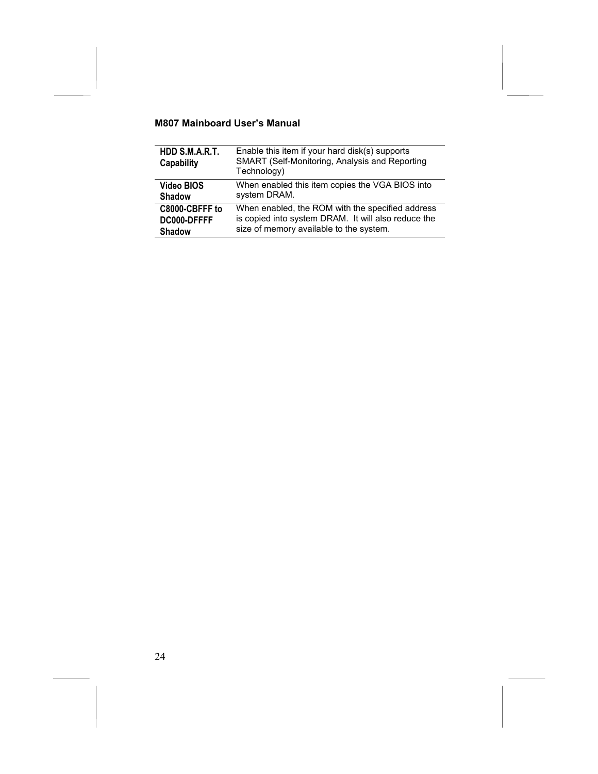| HDD S.M.A.R.T.<br>Capability | Enable this item if your hard disk(s) supports<br>SMART (Self-Monitoring, Analysis and Reporting<br>Technology) |
|------------------------------|-----------------------------------------------------------------------------------------------------------------|
| Video BIOS                   | When enabled this item copies the VGA BIOS into                                                                 |
| <b>Shadow</b>                | system DRAM.                                                                                                    |
| C8000-CBFFF to               | When enabled, the ROM with the specified address                                                                |
| DC000-DFFFF                  | is copied into system DRAM. It will also reduce the                                                             |
| <b>Shadow</b>                | size of memory available to the system.                                                                         |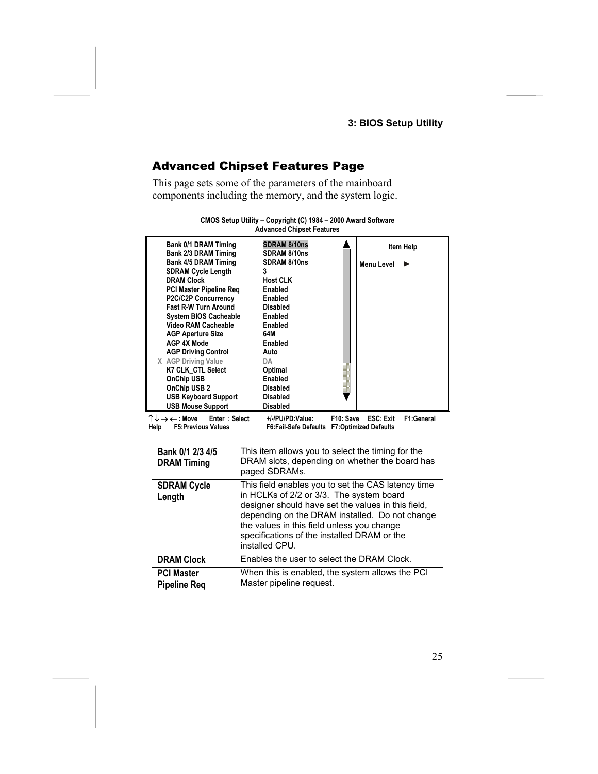### <span id="page-28-0"></span>Advanced Chipset Features Page

This page sets some of the parameters of the mainboard components including the memory, and the system logic.

| <b>Bank 0/1 DRAM Timing</b><br><b>Bank 2/3 DRAM Timing</b><br><b>Bank 4/5 DRAM Timing</b><br><b>SDRAM Cycle Length</b><br><b>DRAM Clock</b><br><b>PCI Master Pipeline Reg</b><br>P2C/C2P Concurrency<br>Fast R-W Turn Around<br><b>System BIOS Cacheable</b><br><b>Video RAM Cacheable</b><br><b>AGP Aperture Size</b><br><b>AGP 4X Mode</b><br><b>AGP Driving Control</b><br>X AGP Driving Value<br><b>K7 CLK CTL Select</b><br><b>OnChip USB</b><br>OnChip USB 2 | Advanced Unipset Features<br>SDRAM 8/10ns<br>SDRAM 8/10ns<br>SDRAM 8/10ns<br>3<br><b>Host CLK</b><br><b>Enabled</b><br><b>Enabled</b><br><b>Disabled</b><br><b>Enabled</b><br>Enabled<br>64M<br>Enabled<br>Auto<br>DA<br>Optimal<br><b>Enabled</b><br><b>Disabled</b>                                                 | Item Help<br><b>Menu Level</b> |
|--------------------------------------------------------------------------------------------------------------------------------------------------------------------------------------------------------------------------------------------------------------------------------------------------------------------------------------------------------------------------------------------------------------------------------------------------------------------|-----------------------------------------------------------------------------------------------------------------------------------------------------------------------------------------------------------------------------------------------------------------------------------------------------------------------|--------------------------------|
| <b>USB Keyboard Support</b>                                                                                                                                                                                                                                                                                                                                                                                                                                        | <b>Disabled</b>                                                                                                                                                                                                                                                                                                       |                                |
| <b>USB Mouse Support</b>                                                                                                                                                                                                                                                                                                                                                                                                                                           | <b>Disabled</b>                                                                                                                                                                                                                                                                                                       |                                |
| ↑↓→←:Move<br>Enter: Select<br>Help<br><b>F5:Previous Values</b>                                                                                                                                                                                                                                                                                                                                                                                                    | F10: Save<br>+/-/PU/PD:Value:<br>F6:Fail-Safe Defaults F7:Optimized Defaults                                                                                                                                                                                                                                          | F1:General<br>ESC: Exit        |
| Bank 0/1 2/3 4/5                                                                                                                                                                                                                                                                                                                                                                                                                                                   | This item allows you to select the timing for the                                                                                                                                                                                                                                                                     |                                |
| <b>DRAM Timing</b>                                                                                                                                                                                                                                                                                                                                                                                                                                                 | DRAM slots, depending on whether the board has<br>paged SDRAMs.                                                                                                                                                                                                                                                       |                                |
| <b>SDRAM Cycle</b><br>Length                                                                                                                                                                                                                                                                                                                                                                                                                                       | This field enables you to set the CAS latency time<br>in HCLKs of 2/2 or 3/3. The system board<br>designer should have set the values in this field,<br>depending on the DRAM installed. Do not change<br>the values in this field unless you change<br>specifications of the installed DRAM or the<br>installed CPU. |                                |
| <b>DRAM Clock</b>                                                                                                                                                                                                                                                                                                                                                                                                                                                  | Enables the user to select the DRAM Clock.                                                                                                                                                                                                                                                                            |                                |
| <b>PCI Master</b><br>Pipeline Rea                                                                                                                                                                                                                                                                                                                                                                                                                                  | When this is enabled, the system allows the PCI<br>Master pipeline request.                                                                                                                                                                                                                                           |                                |

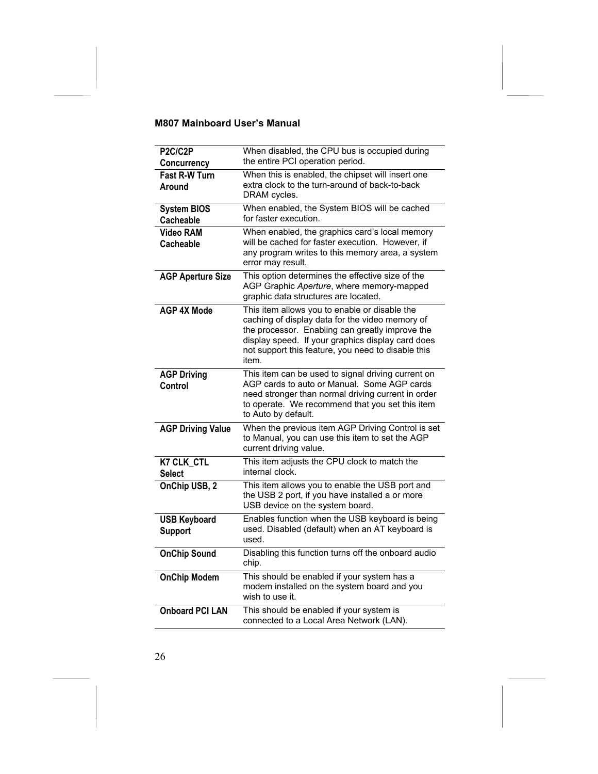| P2C/C2P<br>Concurrency                | When disabled, the CPU bus is occupied during<br>the entire PCI operation period.                                                                                                                                                                                       |
|---------------------------------------|-------------------------------------------------------------------------------------------------------------------------------------------------------------------------------------------------------------------------------------------------------------------------|
| Fast R-W Turn<br>Around               | When this is enabled, the chipset will insert one<br>extra clock to the turn-around of back-to-back<br>DRAM cycles.                                                                                                                                                     |
| <b>System BIOS</b><br>Cacheable       | When enabled, the System BIOS will be cached<br>for faster execution.                                                                                                                                                                                                   |
| <b>Video RAM</b><br>Cacheable         | When enabled, the graphics card's local memory<br>will be cached for faster execution. However, if<br>any program writes to this memory area, a system<br>error may result.                                                                                             |
| <b>AGP Aperture Size</b>              | This option determines the effective size of the<br>AGP Graphic Aperture, where memory-mapped<br>graphic data structures are located.                                                                                                                                   |
| <b>AGP 4X Mode</b>                    | This item allows you to enable or disable the<br>caching of display data for the video memory of<br>the processor. Enabling can greatly improve the<br>display speed. If your graphics display card does<br>not support this feature, you need to disable this<br>item. |
| <b>AGP Driving</b><br>Control         | This item can be used to signal driving current on<br>AGP cards to auto or Manual. Some AGP cards<br>need stronger than normal driving current in order<br>to operate. We recommend that you set this item<br>to Auto by default.                                       |
| <b>AGP Driving Value</b>              | When the previous item AGP Driving Control is set<br>to Manual, you can use this item to set the AGP<br>current driving value.                                                                                                                                          |
| <b>K7 CLK CTL</b><br><b>Select</b>    | This item adjusts the CPU clock to match the<br>internal clock.                                                                                                                                                                                                         |
| OnChip USB, 2                         | This item allows you to enable the USB port and<br>the USB 2 port, if you have installed a or more<br>USB device on the system board.                                                                                                                                   |
| <b>USB Keyboard</b><br><b>Support</b> | Enables function when the USB keyboard is being<br>used. Disabled (default) when an AT keyboard is<br>used.                                                                                                                                                             |
| <b>OnChip Sound</b>                   | Disabling this function turns off the onboard audio<br>chip.                                                                                                                                                                                                            |
| <b>OnChip Modem</b>                   | This should be enabled if your system has a<br>modem installed on the system board and you<br>wish to use it.                                                                                                                                                           |
| <b>Onboard PCI LAN</b>                | This should be enabled if your system is<br>connected to a Local Area Network (LAN).                                                                                                                                                                                    |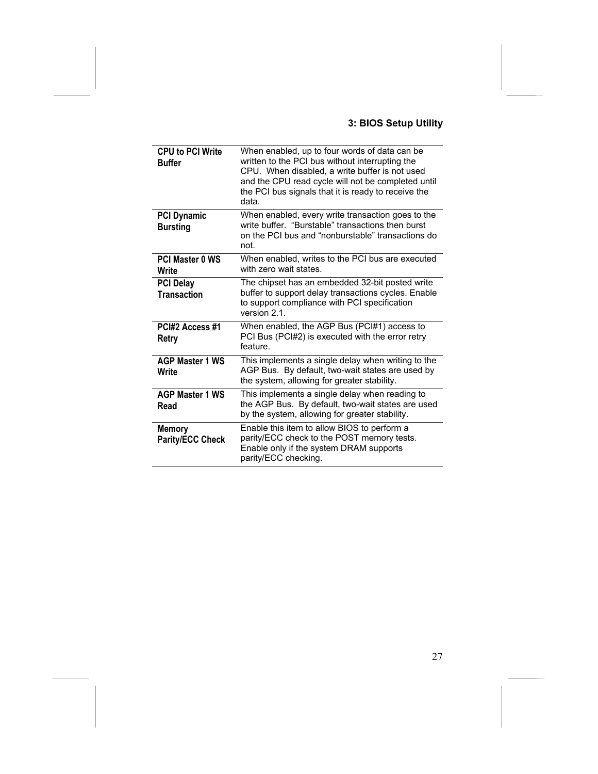### **3: BIOS Setup Utility**

| <b>CPU to PCI Write</b><br><b>Buffer</b> | When enabled, up to four words of data can be<br>written to the PCI bus without interrupting the<br>CPU. When disabled, a write buffer is not used<br>and the CPU read cycle will not be completed until<br>the PCI bus signals that it is ready to receive the<br>data. |
|------------------------------------------|--------------------------------------------------------------------------------------------------------------------------------------------------------------------------------------------------------------------------------------------------------------------------|
| <b>PCI Dynamic</b><br><b>Bursting</b>    | When enabled, every write transaction goes to the<br>write buffer. "Burstable" transactions then burst<br>on the PCI bus and "nonburstable" transactions do<br>not.                                                                                                      |
| <b>PCI Master 0 WS</b><br>Write          | When enabled, writes to the PCI bus are executed<br>with zero wait states.                                                                                                                                                                                               |
| <b>PCI Delay</b><br><b>Transaction</b>   | The chipset has an embedded 32-bit posted write<br>buffer to support delay transactions cycles. Enable<br>to support compliance with PCI specification<br>version 2.1.                                                                                                   |
| PCI#2 Access #1<br>Retry                 | When enabled, the AGP Bus (PCI#1) access to<br>PCI Bus (PCI#2) is executed with the error retry<br>feature.                                                                                                                                                              |
| <b>AGP Master 1 WS</b><br>Write          | This implements a single delay when writing to the<br>AGP Bus. By default, two-wait states are used by<br>the system, allowing for greater stability.                                                                                                                    |
| <b>AGP Master 1 WS</b><br>Read           | This implements a single delay when reading to<br>the AGP Bus. By default, two-wait states are used<br>by the system, allowing for greater stability.                                                                                                                    |
| <b>Memory</b><br><b>Parity/ECC Check</b> | Enable this item to allow BIOS to perform a<br>parity/ECC check to the POST memory tests.<br>Enable only if the system DRAM supports<br>parity/ECC checking.                                                                                                             |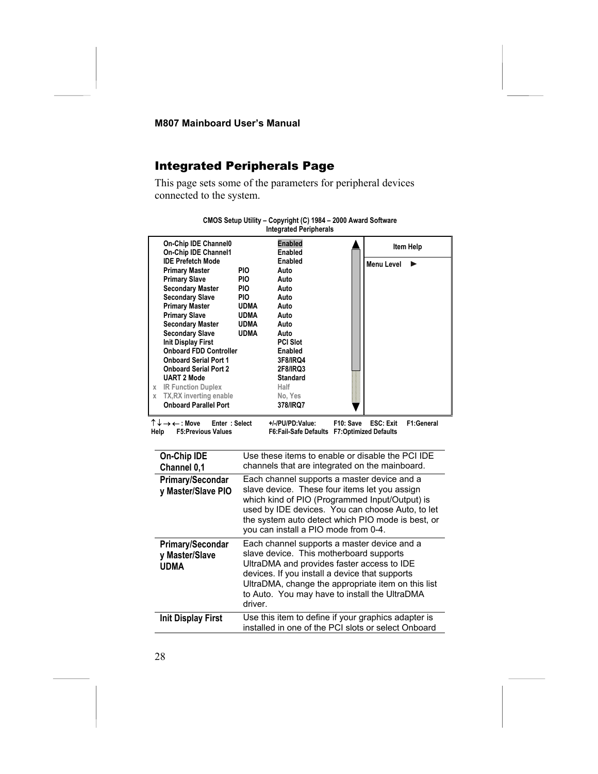### <span id="page-31-0"></span>Integrated Peripherals Page

This page sets some of the parameters for peripheral devices connected to the system.

|   | On-Chip IDE Channel0<br>On-Chip IDE Channel1 |             | <b>Enabled</b><br>Enabled | Item Help       |
|---|----------------------------------------------|-------------|---------------------------|-----------------|
|   | <b>IDE Prefetch Mode</b>                     |             | Enabled                   | Menu Level<br>ь |
|   | <b>Primary Master</b>                        | <b>PIO</b>  | Auto                      |                 |
|   | <b>Primary Slave</b>                         | PIO.        | Auto                      |                 |
|   | <b>Secondary Master</b>                      | <b>PIO</b>  | Auto                      |                 |
|   | <b>Secondary Slave</b>                       | <b>PIO</b>  | Auto                      |                 |
|   | <b>Primary Master</b>                        | UDMA        | Auto                      |                 |
|   | <b>Primary Slave</b>                         | <b>UDMA</b> | Auto                      |                 |
|   | <b>Secondary Master</b>                      | <b>UDMA</b> | Auto                      |                 |
|   | <b>Secondary Slave</b>                       | <b>UDMA</b> | Auto                      |                 |
|   | <b>Init Display First</b>                    |             | <b>PCI Slot</b>           |                 |
|   | <b>Onboard FDD Controller</b>                |             | Enabled                   |                 |
|   | <b>Onboard Serial Port 1</b>                 |             | 3F8/IRQ4                  |                 |
|   | <b>Onboard Serial Port 2</b>                 |             | <b>2F8/IRQ3</b>           |                 |
|   | <b>UART 2 Mode</b>                           |             | <b>Standard</b>           |                 |
| X | <b>IR Function Duplex</b>                    |             | Half                      |                 |
| X | TX, RX inverting enable                      |             | No, Yes                   |                 |
|   | <b>Onboard Parallel Port</b>                 |             | 378/IRQ7                  |                 |
|   |                                              |             |                           |                 |

#### **CMOS Setup Utility – Copyright (C) 1984 – 2000 Award Software Integrated Peripherals**

↑ ↓ → ← **: Move Enter : Select +/-/PU/PD:Value: F10: Save ESC: Exit F1:General F6:Fail-Safe Defaults F7:Optimized Defaults** 

| On-Chip IDE<br>Channel 0,1                               | Use these items to enable or disable the PCI IDE<br>channels that are integrated on the mainboard.                                                                                                                                                                                                       |
|----------------------------------------------------------|----------------------------------------------------------------------------------------------------------------------------------------------------------------------------------------------------------------------------------------------------------------------------------------------------------|
| Primary/Secondar<br>y Master/Slave PIO                   | Each channel supports a master device and a<br>slave device. These four items let you assign<br>which kind of PIO (Programmed Input/Output) is<br>used by IDE devices. You can choose Auto, to let<br>the system auto detect which PIO mode is best, or<br>you can install a PIO mode from 0-4.          |
| <b>Primary/Secondar</b><br>y Master/Slave<br><b>UDMA</b> | Each channel supports a master device and a<br>slave device. This motherboard supports<br>UltraDMA and provides faster access to IDE<br>devices. If you install a device that supports<br>UltraDMA, change the appropriate item on this list<br>to Auto. You may have to install the UltraDMA<br>driver. |
| <b>Init Display First</b>                                | Use this item to define if your graphics adapter is<br>installed in one of the PCI slots or select Onboard                                                                                                                                                                                               |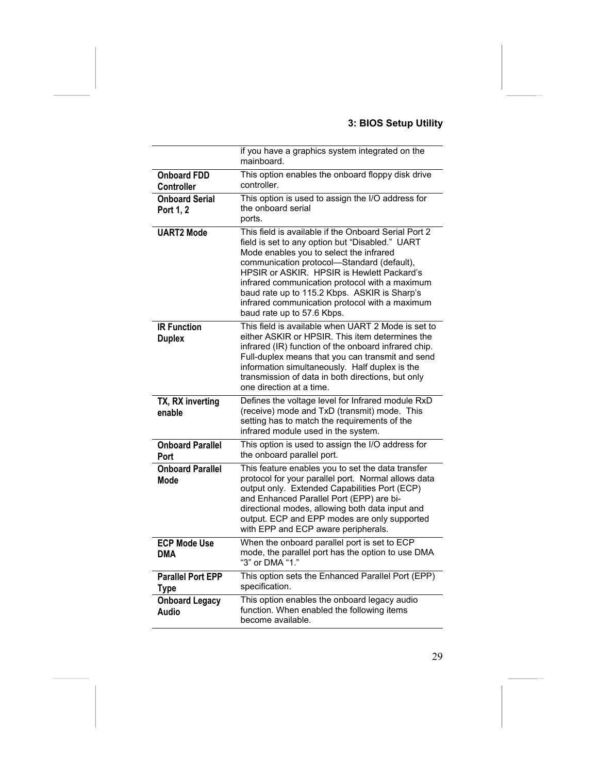### **3: BIOS Setup Utility**

|                                         | if you have a graphics system integrated on the<br>mainboard.                                                                                                                                                                                                                                                                                                                                                                    |
|-----------------------------------------|----------------------------------------------------------------------------------------------------------------------------------------------------------------------------------------------------------------------------------------------------------------------------------------------------------------------------------------------------------------------------------------------------------------------------------|
| <b>Onboard FDD</b><br>Controller        | This option enables the onboard floppy disk drive<br>controller.                                                                                                                                                                                                                                                                                                                                                                 |
| <b>Onboard Serial</b><br>Port 1, 2      | This option is used to assign the I/O address for<br>the onboard serial<br>ports.                                                                                                                                                                                                                                                                                                                                                |
| <b>UART2 Mode</b>                       | This field is available if the Onboard Serial Port 2<br>field is set to any option but "Disabled." UART<br>Mode enables you to select the infrared<br>communication protocol-Standard (default),<br>HPSIR or ASKIR. HPSIR is Hewlett Packard's<br>infrared communication protocol with a maximum<br>baud rate up to 115.2 Kbps. ASKIR is Sharp's<br>infrared communication protocol with a maximum<br>baud rate up to 57.6 Kbps. |
| <b>IR Function</b><br><b>Duplex</b>     | This field is available when UART 2 Mode is set to<br>either ASKIR or HPSIR. This item determines the<br>infrared (IR) function of the onboard infrared chip.<br>Full-duplex means that you can transmit and send<br>information simultaneously. Half duplex is the<br>transmission of data in both directions, but only<br>one direction at a time.                                                                             |
| TX, RX inverting<br>enable              | Defines the voltage level for Infrared module RxD<br>(receive) mode and TxD (transmit) mode. This<br>setting has to match the requirements of the<br>infrared module used in the system.                                                                                                                                                                                                                                         |
| <b>Onboard Parallel</b><br>Port         | This option is used to assign the I/O address for<br>the onboard parallel port.                                                                                                                                                                                                                                                                                                                                                  |
| <b>Onboard Parallel</b><br>Mode         | This feature enables you to set the data transfer<br>protocol for your parallel port. Normal allows data<br>output only. Extended Capabilities Port (ECP)<br>and Enhanced Parallel Port (EPP) are bi-<br>directional modes, allowing both data input and<br>output. ECP and EPP modes are only supported<br>with EPP and ECP aware peripherals.                                                                                  |
| <b>ECP Mode Use</b><br><b>DMA</b>       | When the onboard parallel port is set to ECP<br>mode, the parallel port has the option to use DMA<br>"3" or DMA "1."                                                                                                                                                                                                                                                                                                             |
| <b>Parallel Port EPP</b><br><b>Type</b> | This option sets the Enhanced Parallel Port (EPP)<br>specification.                                                                                                                                                                                                                                                                                                                                                              |
| <b>Onboard Legacy</b><br>Audio          | This option enables the onboard legacy audio<br>function. When enabled the following items<br>become available.                                                                                                                                                                                                                                                                                                                  |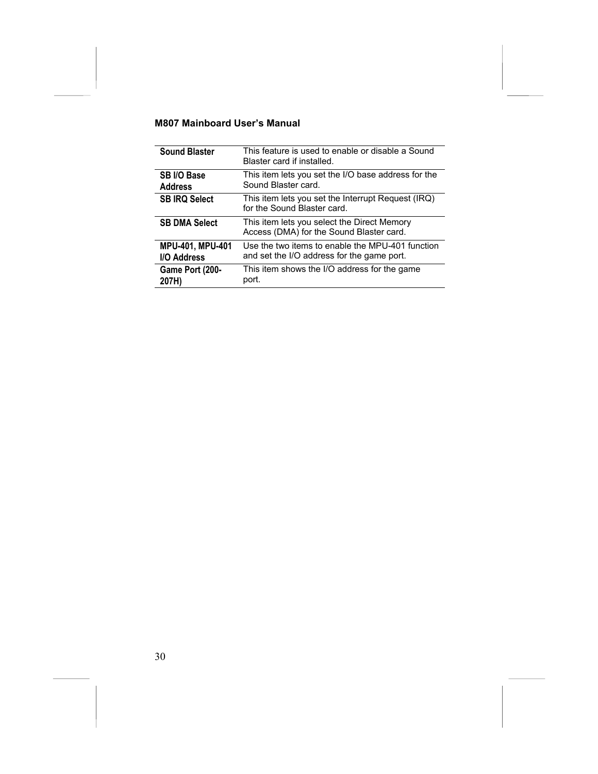| <b>Sound Blaster</b>    | This feature is used to enable or disable a Sound<br>Blaster card if installed.         |
|-------------------------|-----------------------------------------------------------------------------------------|
| SB I/O Base             | This item lets you set the I/O base address for the                                     |
| <b>Address</b>          | Sound Blaster card.                                                                     |
| <b>SB IRQ Select</b>    | This item lets you set the Interrupt Request (IRQ)<br>for the Sound Blaster card.       |
| <b>SB DMA Select</b>    | This item lets you select the Direct Memory<br>Access (DMA) for the Sound Blaster card. |
| <b>MPU-401, MPU-401</b> | Use the two items to enable the MPU-401 function                                        |
| I/O Address             | and set the I/O address for the game port.                                              |
| Game Port (200-         | This item shows the I/O address for the game                                            |
| 207H)                   | port.                                                                                   |

 $\overline{\phantom{0}}$  $\overline{\phantom{a}}$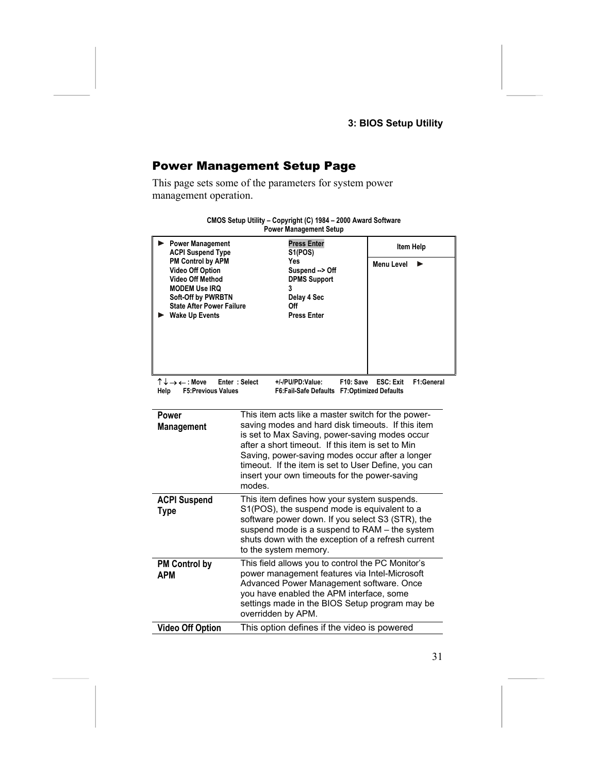### <span id="page-34-0"></span>Power Management Setup Page

This page sets some of the parameters for system power management operation.

| <b>Power Management</b><br><b>ACPI Suspend Type</b>                                                                                                                                | <b>Press Enter</b><br>S <sub>1</sub> (POS)                                                                                                                                                                                                                                                                                                                                          | Item Help         |  |  |  |
|------------------------------------------------------------------------------------------------------------------------------------------------------------------------------------|-------------------------------------------------------------------------------------------------------------------------------------------------------------------------------------------------------------------------------------------------------------------------------------------------------------------------------------------------------------------------------------|-------------------|--|--|--|
| PM Control by APM<br><b>Video Off Option</b><br><b>Video Off Method</b><br><b>MODEM Use IRQ</b><br>Soft-Off by PWRBTN<br><b>State After Power Failure</b><br><b>Wake Up Events</b> | Yes<br>Suspend -- > Off<br><b>DPMS Support</b><br>3<br>Delay 4 Sec<br>Off<br>Press Enter                                                                                                                                                                                                                                                                                            | <b>Menu Level</b> |  |  |  |
| ↑↓→←:Move<br>Help                                                                                                                                                                  | Enter: Select<br>F1:General<br>+/-/PU/PD:Value:<br>F10: Save<br><b>ESC: Exit</b><br><b>F5:Previous Values</b><br>F6: Fail-Safe Defaults F7: Optimized Defaults                                                                                                                                                                                                                      |                   |  |  |  |
| Power<br><b>Management</b>                                                                                                                                                         | This item acts like a master switch for the power-<br>saving modes and hard disk timeouts. If this item<br>is set to Max Saving, power-saving modes occur<br>after a short timeout. If this item is set to Min<br>Saving, power-saving modes occur after a longer<br>timeout. If the item is set to User Define, you can<br>insert your own timeouts for the power-saving<br>modes. |                   |  |  |  |
| <b>ACPI Suspend</b><br><b>Type</b>                                                                                                                                                 | This item defines how your system suspends.<br>S1(POS), the suspend mode is equivalent to a<br>software power down. If you select S3 (STR), the<br>suspend mode is a suspend to RAM - the system<br>shuts down with the exception of a refresh current<br>to the system memory.                                                                                                     |                   |  |  |  |
| <b>PM Control by</b><br><b>APM</b>                                                                                                                                                 | This field allows you to control the PC Monitor's<br>power management features via Intel-Microsoft<br>Advanced Power Management software. Once<br>you have enabled the APM interface, some<br>settings made in the BIOS Setup program may be<br>overridden by APM.                                                                                                                  |                   |  |  |  |
| <b>Video Off Option</b>                                                                                                                                                            | This option defines if the video is powered                                                                                                                                                                                                                                                                                                                                         |                   |  |  |  |

| CMOS Setup Utility - Copyright (C) 1984 - 2000 Award Software |
|---------------------------------------------------------------|
| <b>Power Management Setup</b>                                 |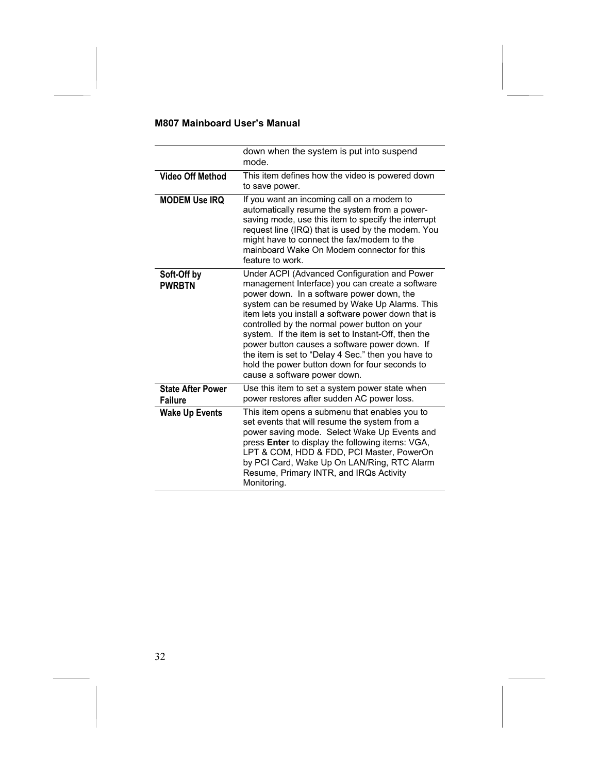|                                            | down when the system is put into suspend<br>mode.                                                                                                                                                                                                                                                                                                                                                                                                                                                                                                     |  |
|--------------------------------------------|-------------------------------------------------------------------------------------------------------------------------------------------------------------------------------------------------------------------------------------------------------------------------------------------------------------------------------------------------------------------------------------------------------------------------------------------------------------------------------------------------------------------------------------------------------|--|
| <b>Video Off Method</b>                    | This item defines how the video is powered down<br>to save power.                                                                                                                                                                                                                                                                                                                                                                                                                                                                                     |  |
| <b>MODEM Use IRQ</b>                       | If you want an incoming call on a modem to<br>automatically resume the system from a power-<br>saving mode, use this item to specify the interrupt<br>request line (IRQ) that is used by the modem. You<br>might have to connect the fax/modem to the<br>mainboard Wake On Modem connector for this<br>feature to work.                                                                                                                                                                                                                               |  |
| Soft-Off by<br><b>PWRBTN</b>               | Under ACPI (Advanced Configuration and Power<br>management Interface) you can create a software<br>power down. In a software power down, the<br>system can be resumed by Wake Up Alarms. This<br>item lets you install a software power down that is<br>controlled by the normal power button on your<br>system. If the item is set to Instant-Off, then the<br>power button causes a software power down. If<br>the item is set to "Delay 4 Sec." then you have to<br>hold the power button down for four seconds to<br>cause a software power down. |  |
| <b>State After Power</b><br><b>Failure</b> | Use this item to set a system power state when<br>power restores after sudden AC power loss.                                                                                                                                                                                                                                                                                                                                                                                                                                                          |  |
| <b>Wake Up Events</b>                      | This item opens a submenu that enables you to<br>set events that will resume the system from a<br>power saving mode. Select Wake Up Events and<br>press <b>Enter</b> to display the following items: VGA,<br>LPT & COM, HDD & FDD, PCI Master, PowerOn<br>by PCI Card, Wake Up On LAN/Ring, RTC Alarm<br>Resume, Primary INTR, and IRQs Activity<br>Monitoring.                                                                                                                                                                                       |  |

 $\overline{\phantom{a}}$  $\overline{\phantom{a}}$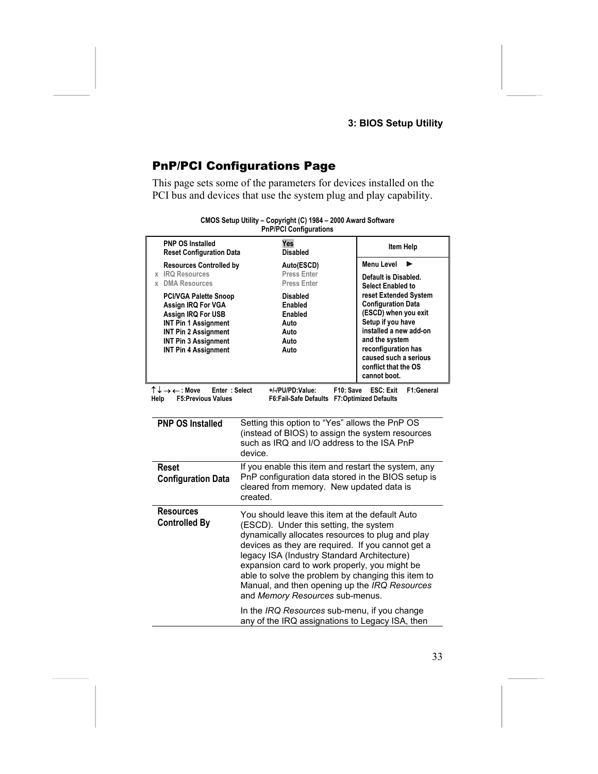### **3: BIOS Setup Utility**

# <span id="page-36-0"></span>PnP/PCI Configurations Page

This page sets some of the parameters for devices installed on the PCI bus and devices that use the system plug and play capability.

|                                                                                                                                                                                               | PIIP/PUI GOIIIIQUI AUDIIS                                                                                                                                                                                                                                                                                                                                                                                                                   |                                                                                                                                                                                                                                     |  |
|-----------------------------------------------------------------------------------------------------------------------------------------------------------------------------------------------|---------------------------------------------------------------------------------------------------------------------------------------------------------------------------------------------------------------------------------------------------------------------------------------------------------------------------------------------------------------------------------------------------------------------------------------------|-------------------------------------------------------------------------------------------------------------------------------------------------------------------------------------------------------------------------------------|--|
| <b>PNP OS Installed</b><br><b>Reset Configuration Data</b>                                                                                                                                    | Yes<br><b>Disabled</b>                                                                                                                                                                                                                                                                                                                                                                                                                      | Item Help                                                                                                                                                                                                                           |  |
| <b>Resources Controlled by</b><br>x IRQ Resources<br>x DMA Resources                                                                                                                          | Auto(ESCD)<br><b>Press Enter</b><br><b>Press Enter</b>                                                                                                                                                                                                                                                                                                                                                                                      | <b>Menu Level</b><br>ь<br>Default is Disabled.<br><b>Select Enabled to</b>                                                                                                                                                          |  |
| <b>PCI/VGA Palette Snoop</b><br>Assign IRQ For VGA<br>Assign IRQ For USB<br>INT Pin 1 Assignment<br><b>INT Pin 2 Assignment</b><br><b>INT Pin 3 Assignment</b><br><b>INT Pin 4 Assignment</b> | <b>Disabled</b><br><b>Enabled</b><br>Enabled<br>Auto<br>Auto<br>Auto<br>Auto                                                                                                                                                                                                                                                                                                                                                                | reset Extended System<br><b>Configuration Data</b><br>(ESCD) when you exit<br>Setup if you have<br>installed a new add-on<br>and the system<br>reconfiguration has<br>caused such a serious<br>conflict that the OS<br>cannot boot. |  |
| ↑↓→←:Move<br>Enter: Select<br>Help<br><b>F5:Previous Values</b>                                                                                                                               | F10: Save<br>+/-/PU/PD:Value:<br>F6:Fail-Safe Defaults F7:Optimized Defaults                                                                                                                                                                                                                                                                                                                                                                | F1:General<br><b>ESC: Exit</b>                                                                                                                                                                                                      |  |
| <b>PNP OS Installed</b>                                                                                                                                                                       | Setting this option to "Yes" allows the PnP OS<br>(instead of BIOS) to assign the system resources<br>such as IRQ and I/O address to the ISA PnP<br>device.                                                                                                                                                                                                                                                                                 |                                                                                                                                                                                                                                     |  |
| <b>Reset</b><br><b>Configuration Data</b>                                                                                                                                                     | If you enable this item and restart the system, any<br>PnP configuration data stored in the BIOS setup is<br>cleared from memory. New updated data is<br>created.                                                                                                                                                                                                                                                                           |                                                                                                                                                                                                                                     |  |
| <b>Resources</b><br><b>Controlled By</b>                                                                                                                                                      | You should leave this item at the default Auto<br>(ESCD). Under this setting, the system<br>dynamically allocates resources to plug and play<br>devices as they are required. If you cannot get a<br>legacy ISA (Industry Standard Architecture)<br>expansion card to work properly, you might be<br>able to solve the problem by changing this item to<br>Manual, and then opening up the IRQ Resources<br>and Memory Resources sub-menus. |                                                                                                                                                                                                                                     |  |
|                                                                                                                                                                                               | In the IRQ Resources sub-menu, if you change<br>any of the IRQ assignations to Legacy ISA, then                                                                                                                                                                                                                                                                                                                                             |                                                                                                                                                                                                                                     |  |

| CMOS Setup Utility - Copyright (C) 1984 - 2000 Award Software |  |
|---------------------------------------------------------------|--|
| <b>PnP/PCI Configurations</b>                                 |  |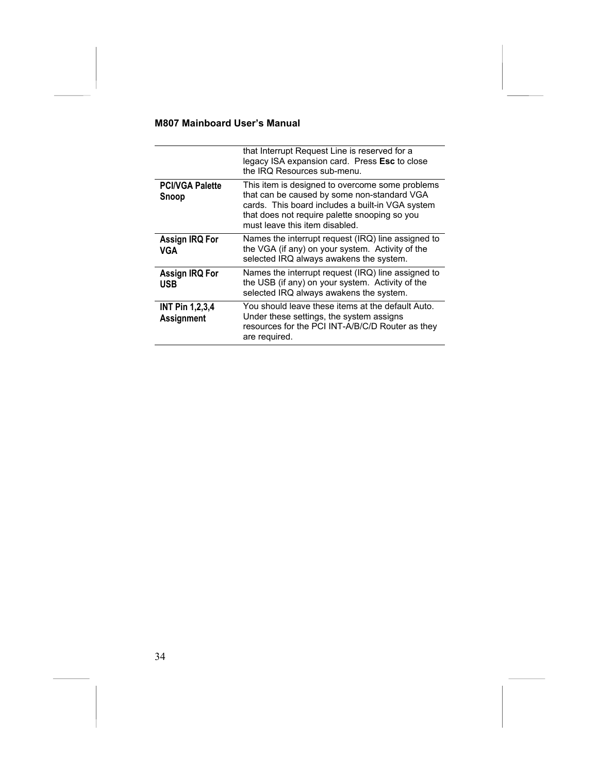|                                        | that Interrupt Request Line is reserved for a<br>legacy ISA expansion card. Press Esc to close<br>the IRQ Resources sub-menu.                                                                                                         |
|----------------------------------------|---------------------------------------------------------------------------------------------------------------------------------------------------------------------------------------------------------------------------------------|
| <b>PCI/VGA Palette</b><br><b>Snoop</b> | This item is designed to overcome some problems<br>that can be caused by some non-standard VGA<br>cards. This board includes a built-in VGA system<br>that does not require palette snooping so you<br>must leave this item disabled. |
| Assign IRQ For<br>VGA                  | Names the interrupt request (IRQ) line assigned to<br>the VGA (if any) on your system. Activity of the<br>selected IRQ always awakens the system.                                                                                     |
| Assign IRQ For<br><b>USB</b>           | Names the interrupt request (IRQ) line assigned to<br>the USB (if any) on your system. Activity of the<br>selected IRQ always awakens the system.                                                                                     |
| <b>INT Pin 1,2,3,4</b><br>Assignment   | You should leave these items at the default Auto.<br>Under these settings, the system assigns<br>resources for the PCI INT-A/B/C/D Router as they<br>are required.                                                                    |

 $\overline{\phantom{a}}$  $\overline{\phantom{a}}$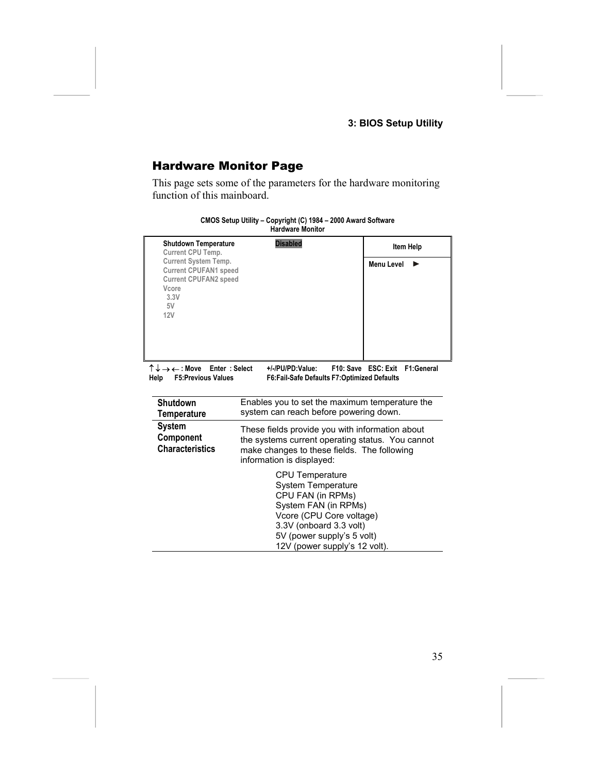### **3: BIOS Setup Utility**

### <span id="page-38-0"></span>Hardware Monitor Page

This page sets some of the parameters for the hardware monitoring function of this mainboard.

| <b>Shutdown Temperature</b><br>Current CPU Temp.<br><b>Current System Temp.</b><br><b>Current CPUFAN1 speed</b><br><b>Current CPUFAN2 speed</b><br>Vcore<br>3.3V<br>5V<br>12V                                 | <b>Disabled</b>                                                                                                                                                                                                 | Item Help<br><b>Menu Level</b> |  |  |
|---------------------------------------------------------------------------------------------------------------------------------------------------------------------------------------------------------------|-----------------------------------------------------------------------------------------------------------------------------------------------------------------------------------------------------------------|--------------------------------|--|--|
| $\uparrow \downarrow \rightarrow \leftarrow$ : Move Enter : Select<br>F10: Save ESC: Exit F1: General<br>+/ /PU/PD:Value:<br>Help<br><b>F5:Previous Values</b><br>F6:Fail-Safe Defaults F7:Optimized Defaults |                                                                                                                                                                                                                 |                                |  |  |
| <b>Shutdown</b><br>Temperature                                                                                                                                                                                | Enables you to set the maximum temperature the<br>system can reach before powering down.                                                                                                                        |                                |  |  |
| <b>System</b><br>Component<br><b>Characteristics</b>                                                                                                                                                          | These fields provide you with information about<br>the systems current operating status. You cannot<br>make changes to these fields. The following<br>information is displayed:                                 |                                |  |  |
|                                                                                                                                                                                                               | CPU Temperature<br><b>System Temperature</b><br>CPU FAN (in RPMs)<br>System FAN (in RPMs)<br>Vcore (CPU Core voltage)<br>3.3V (onboard 3.3 volt)<br>5V (power supply's 5 volt)<br>12V (power supply's 12 volt). |                                |  |  |

**CMOS Setup Utility – Copyright (C) 1984 – 2000 Award Software Hardware Monitor**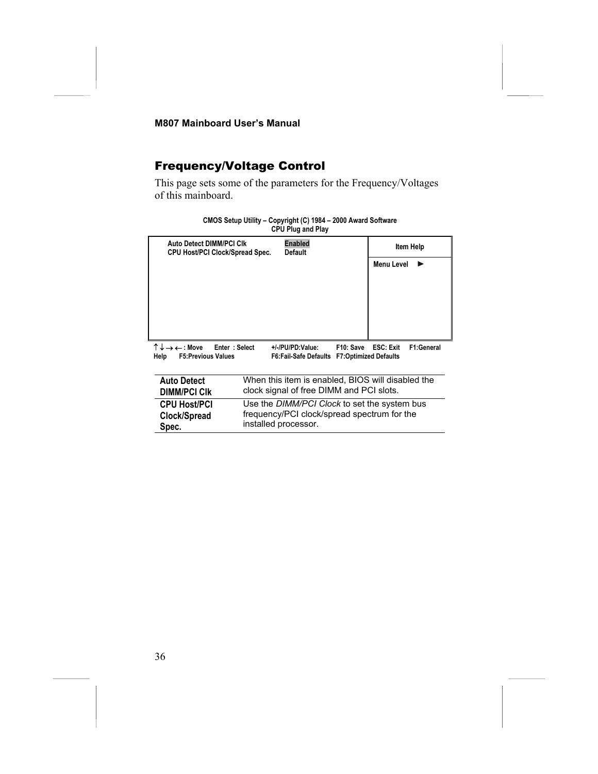### <span id="page-39-0"></span>Frequency/Voltage Control

This page sets some of the parameters for the Frequency/Voltages of this mainboard.

|                                                                                                                                                                                                                                              |                                                                                               | <b>UFU FIUY AIIU FIAV</b>        |  |                   |           |
|----------------------------------------------------------------------------------------------------------------------------------------------------------------------------------------------------------------------------------------------|-----------------------------------------------------------------------------------------------|----------------------------------|--|-------------------|-----------|
| <b>Auto Detect DIMM/PCI CIK</b><br><b>CPU Host/PCI Clock/Spread Spec.</b>                                                                                                                                                                    |                                                                                               | <b>Enabled</b><br><b>Default</b> |  |                   | Item Help |
|                                                                                                                                                                                                                                              |                                                                                               |                                  |  | <b>Menu Level</b> |           |
|                                                                                                                                                                                                                                              |                                                                                               |                                  |  |                   |           |
|                                                                                                                                                                                                                                              |                                                                                               |                                  |  |                   |           |
|                                                                                                                                                                                                                                              |                                                                                               |                                  |  |                   |           |
|                                                                                                                                                                                                                                              |                                                                                               |                                  |  |                   |           |
| $\uparrow \downarrow \rightarrow \leftarrow$ : Move<br>Enter: Select<br><b>ESC: Exit</b><br>F1:General<br>F10: Save<br>+/-/PU/PD:Value:<br><b>F6:Fail-Safe Defaults</b><br><b>F5:Previous Values</b><br><b>F7:Optimized Defaults</b><br>Help |                                                                                               |                                  |  |                   |           |
|                                                                                                                                                                                                                                              |                                                                                               |                                  |  |                   |           |
| <b>Auto Detect</b>                                                                                                                                                                                                                           | When this item is enabled, BIOS will disabled the<br>clock signal of free DIMM and PCI slots. |                                  |  |                   |           |
| <b>DIMM/PCI CIK</b>                                                                                                                                                                                                                          |                                                                                               |                                  |  |                   |           |
| <b>CPU Host/PCI</b>                                                                                                                                                                                                                          | Use the DIMM/PCI Clock to set the system bus                                                  |                                  |  |                   |           |
| Clock/Spread                                                                                                                                                                                                                                 | frequency/PCI clock/spread spectrum for the                                                   |                                  |  |                   |           |
| Spec.                                                                                                                                                                                                                                        | installed processor.                                                                          |                                  |  |                   |           |

**CMOS Setup Utility – Copyright (C) 1984 – 2000 Award Software CPU Plug and Play**

 $\overline{\phantom{a}}$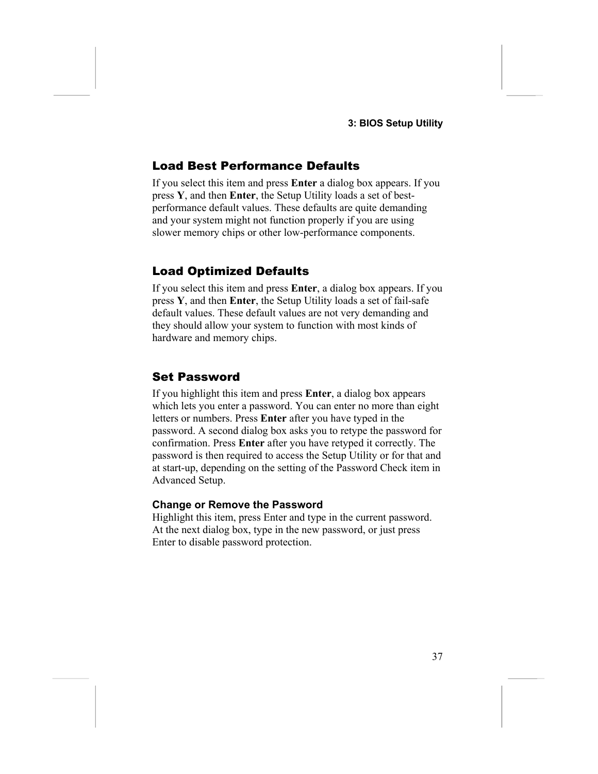#### <span id="page-40-0"></span>Load Best Performance Defaults

If you select this item and press **Enter** a dialog box appears. If you press **Y**, and then **Enter**, the Setup Utility loads a set of bestperformance default values. These defaults are quite demanding and your system might not function properly if you are using slower memory chips or other low-performance components.

#### <span id="page-40-1"></span>Load Optimized Defaults

If you select this item and press **Enter**, a dialog box appears. If you press **Y**, and then **Enter**, the Setup Utility loads a set of fail-safe default values. These default values are not very demanding and they should allow your system to function with most kinds of hardware and memory chips.

#### <span id="page-40-2"></span>Set Password

If you highlight this item and press **Enter**, a dialog box appears which lets you enter a password. You can enter no more than eight letters or numbers. Press **Enter** after you have typed in the password. A second dialog box asks you to retype the password for confirmation. Press **Enter** after you have retyped it correctly. The password is then required to access the Setup Utility or for that and at start-up, depending on the setting of the Password Check item in Advanced Setup.

#### **Change or Remove the Password**

Highlight this item, press Enter and type in the current password. At the next dialog box, type in the new password, or just press Enter to disable password protection.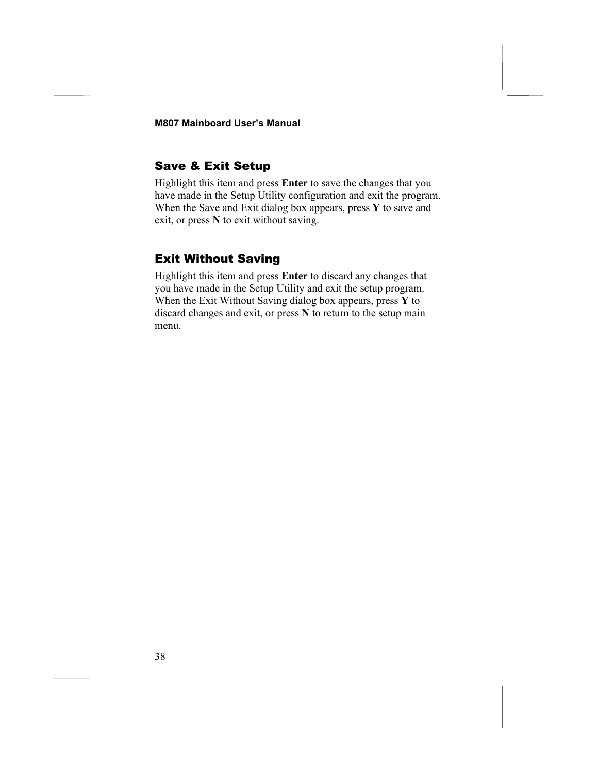### <span id="page-41-0"></span>Save & Exit Setup

Highlight this item and press **Enter** to save the changes that you have made in the Setup Utility configuration and exit the program. When the Save and Exit dialog box appears, press **Y** to save and exit, or press **N** to exit without saving.

### <span id="page-41-1"></span>Exit Without Saving

Highlight this item and press **Enter** to discard any changes that you have made in the Setup Utility and exit the setup program. When the Exit Without Saving dialog box appears, press **Y** to discard changes and exit, or press **N** to return to the setup main menu.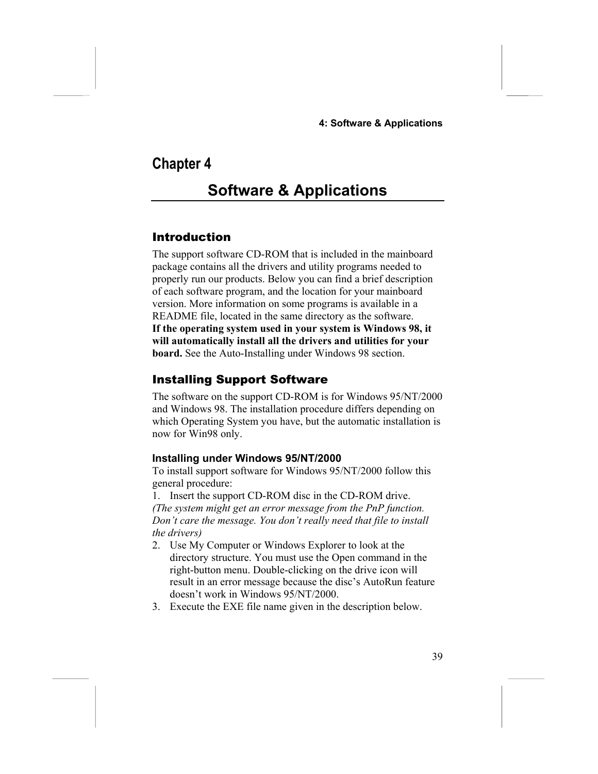#### **4: Software & Applications**

## **Chapter 4**

# <span id="page-42-0"></span>**Software & Applications**

#### <span id="page-42-1"></span>Introduction

The support software CD-ROM that is included in the mainboard package contains all the drivers and utility programs needed to properly run our products. Below you can find a brief description of each software program, and the location for your mainboard version. More information on some programs is available in a README file, located in the same directory as the software. **If the operating system used in your system is Windows 98, it will automatically install all the drivers and utilities for your board.** See the Auto-Installing under Windows 98 section.

#### <span id="page-42-2"></span>Installing Support Software

The software on the support CD-ROM is for Windows 95/NT/2000 and Windows 98. The installation procedure differs depending on which Operating System you have, but the automatic installation is now for Win98 only.

#### **Installing under Windows 95/NT/2000**

To install support software for Windows 95/NT/2000 follow this general procedure:

1. Insert the support CD-ROM disc in the CD-ROM drive. *(The system might get an error message from the PnP function. Don't care the message. You don't really need that file to install the drivers)*

- 2. Use My Computer or Windows Explorer to look at the directory structure. You must use the Open command in the right-button menu. Double-clicking on the drive icon will result in an error message because the disc's AutoRun feature doesn't work in Windows 95/NT/2000.
- 3. Execute the EXE file name given in the description below.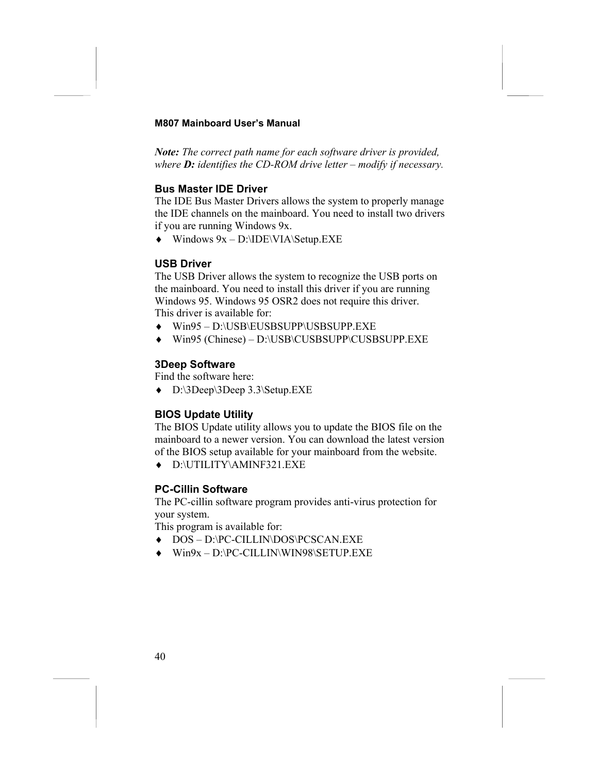*Note: The correct path name for each software driver is provided, where D: identifies the CD-ROM drive letter – modify if necessary.*

#### **Bus Master IDE Driver**

The IDE Bus Master Drivers allows the system to properly manage the IDE channels on the mainboard. You need to install two drivers if you are running Windows 9x.

 $\blacklozenge$  Windows  $9x - D:\IDE\VIA\Set{Setup.EXE}$ 

#### **USB Driver**

The USB Driver allows the system to recognize the USB ports on the mainboard. You need to install this driver if you are running Windows 95. Windows 95 OSR2 does not require this driver. This driver is available for:

- ♦ Win95 D:\USB\EUSBSUPP\USBSUPP.EXE
- ♦ Win95 (Chinese) D:\USB\CUSBSUPP\CUSBSUPP.EXE

#### **3Deep Software**

Find the software here:

♦ D:\3Deep\3Deep 3.3\Setup.EXE

#### **BIOS Update Utility**

The BIOS Update utility allows you to update the BIOS file on the mainboard to a newer version. You can download the latest version of the BIOS setup available for your mainboard from the website.

♦ D:\UTILITY\AMINF321.EXE

#### **PC-Cillin Software**

The PC-cillin software program provides anti-virus protection for your system.

This program is available for:

- ♦ DOS D:\PC-CILLIN\DOS\PCSCAN.EXE
- ♦ Win9x D:\PC-CILLIN\WIN98\SETUP.EXE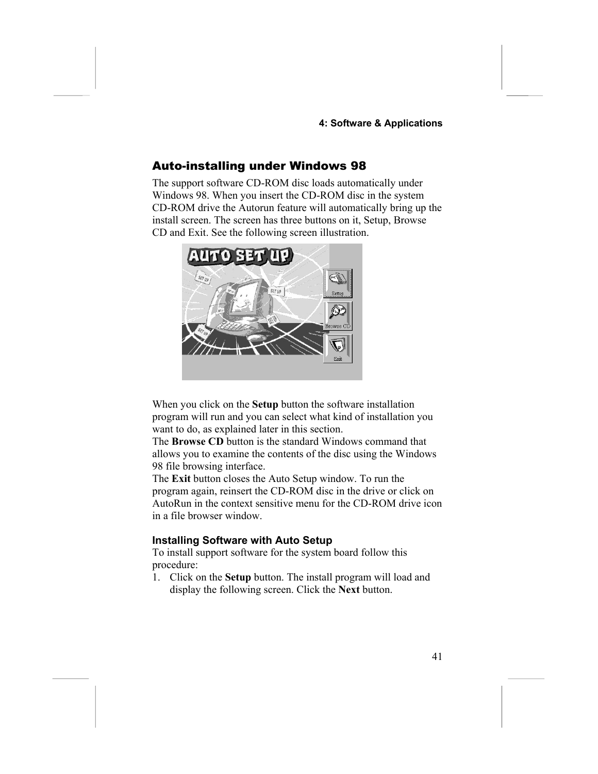#### **4: Software & Applications**

#### <span id="page-44-0"></span>Auto-installing under Windows 98

The support software CD-ROM disc loads automatically under Windows 98. When you insert the CD-ROM disc in the system CD-ROM drive the Autorun feature will automatically bring up the install screen. The screen has three buttons on it, Setup, Browse CD and Exit. See the following screen illustration.



When you click on the **Setup** button the software installation program will run and you can select what kind of installation you want to do, as explained later in this section.

The **Browse CD** button is the standard Windows command that allows you to examine the contents of the disc using the Windows 98 file browsing interface.

The **Exit** button closes the Auto Setup window. To run the program again, reinsert the CD-ROM disc in the drive or click on AutoRun in the context sensitive menu for the CD-ROM drive icon in a file browser window.

#### **Installing Software with Auto Setup**

To install support software for the system board follow this procedure:

1. Click on the **Setup** button. The install program will load and display the following screen. Click the **Next** button.